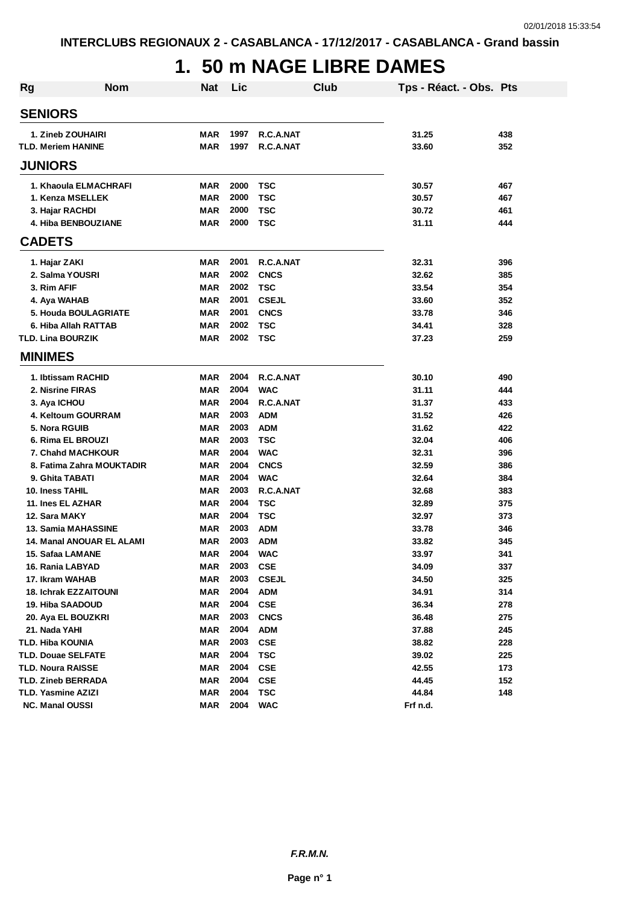# **1. 50 m NAGE LIBRE DAMES**

| <b>Rg</b> | <b>Nom</b>                       | <b>Nat</b> | Lic  |              | Club | Tps - Réact. - Obs. Pts |     |
|-----------|----------------------------------|------------|------|--------------|------|-------------------------|-----|
|           | <b>SENIORS</b>                   |            |      |              |      |                         |     |
|           | 1. Zineb ZOUHAIRI                | <b>MAR</b> | 1997 | R.C.A.NAT    |      | 31.25                   | 438 |
|           | <b>TLD. Meriem HANINE</b>        | <b>MAR</b> | 1997 | R.C.A.NAT    |      | 33.60                   | 352 |
|           | <b>JUNIORS</b>                   |            |      |              |      |                         |     |
|           | 1. Khaoula ELMACHRAFI            | <b>MAR</b> | 2000 | <b>TSC</b>   |      | 30.57                   | 467 |
|           | 1. Kenza MSELLEK                 | <b>MAR</b> | 2000 | <b>TSC</b>   |      | 30.57                   | 467 |
|           | 3. Hajar RACHDI                  | <b>MAR</b> | 2000 | <b>TSC</b>   |      | 30.72                   | 461 |
|           | 4. Hiba BENBOUZIANE              | <b>MAR</b> | 2000 | <b>TSC</b>   |      | 31.11                   | 444 |
|           | <b>CADETS</b>                    |            |      |              |      |                         |     |
|           | 1. Hajar ZAKI                    | <b>MAR</b> | 2001 | R.C.A.NAT    |      | 32.31                   | 396 |
|           | 2. Salma YOUSRI                  | <b>MAR</b> | 2002 | <b>CNCS</b>  |      | 32.62                   | 385 |
|           | 3. Rim AFIF                      | <b>MAR</b> | 2002 | <b>TSC</b>   |      | 33.54                   | 354 |
|           | 4. Aya WAHAB                     | <b>MAR</b> | 2001 | <b>CSEJL</b> |      | 33.60                   | 352 |
|           | 5. Houda BOULAGRIATE             | <b>MAR</b> | 2001 | <b>CNCS</b>  |      | 33.78                   | 346 |
|           | 6. Hiba Allah RATTAB             | <b>MAR</b> | 2002 | <b>TSC</b>   |      | 34.41                   | 328 |
|           | <b>TLD. Lina BOURZIK</b>         | <b>MAR</b> | 2002 | <b>TSC</b>   |      | 37.23                   | 259 |
|           | <b>MINIMES</b>                   |            |      |              |      |                         |     |
|           | 1. Ibtissam RACHID               | <b>MAR</b> | 2004 | R.C.A.NAT    |      | 30.10                   | 490 |
|           | 2. Nisrine FIRAS                 | <b>MAR</b> | 2004 | <b>WAC</b>   |      | 31.11                   | 444 |
|           | 3. Aya ICHOU                     | <b>MAR</b> | 2004 | R.C.A.NAT    |      | 31.37                   | 433 |
|           | 4. Keltoum GOURRAM               | <b>MAR</b> | 2003 | <b>ADM</b>   |      | 31.52                   | 426 |
|           | 5. Nora RGUIB                    | <b>MAR</b> | 2003 | <b>ADM</b>   |      | 31.62                   | 422 |
|           | 6. Rima EL BROUZI                | <b>MAR</b> | 2003 | <b>TSC</b>   |      | 32.04                   | 406 |
|           | <b>7. Chahd MACHKOUR</b>         | <b>MAR</b> | 2004 | <b>WAC</b>   |      | 32.31                   | 396 |
|           | 8. Fatima Zahra MOUKTADIR        | <b>MAR</b> | 2004 | <b>CNCS</b>  |      | 32.59                   | 386 |
|           | 9. Ghita TABATI                  | <b>MAR</b> | 2004 | <b>WAC</b>   |      | 32.64                   | 384 |
|           | 10. Iness TAHIL                  | <b>MAR</b> | 2003 | R.C.A.NAT    |      | 32.68                   | 383 |
|           | 11. Ines EL AZHAR                | <b>MAR</b> | 2004 | <b>TSC</b>   |      | 32.89                   | 375 |
|           | 12. Sara MAKY                    | MAR        | 2004 | <b>TSC</b>   |      | 32.97                   | 373 |
|           | <b>13. Samia MAHASSINE</b>       | MAR        | 2003 | <b>ADM</b>   |      | 33.78                   | 346 |
|           | <b>14. Manal ANOUAR EL ALAMI</b> | MAR        | 2003 | <b>ADM</b>   |      | 33.82                   | 345 |
|           | 15. Safaa LAMANE                 | <b>MAR</b> | 2004 | <b>WAC</b>   |      | 33.97                   | 341 |
|           | 16. Rania LABYAD                 | <b>MAR</b> | 2003 | <b>CSE</b>   |      | 34.09                   | 337 |
|           | 17. Ikram WAHAB                  | <b>MAR</b> | 2003 | <b>CSEJL</b> |      | 34.50                   | 325 |
|           | <b>18. Ichrak EZZAITOUNI</b>     | <b>MAR</b> | 2004 | <b>ADM</b>   |      | 34.91                   | 314 |
|           | 19. Hiba SAADOUD                 | <b>MAR</b> | 2004 | <b>CSE</b>   |      | 36.34                   | 278 |
|           | 20. Aya EL BOUZKRI               | <b>MAR</b> | 2003 | <b>CNCS</b>  |      | 36.48                   | 275 |
|           | 21. Nada YAHI                    | <b>MAR</b> | 2004 | <b>ADM</b>   |      | 37.88                   | 245 |
|           | TLD. Hiba KOUNIA                 | <b>MAR</b> | 2003 | <b>CSE</b>   |      | 38.82                   | 228 |
|           | <b>TLD. Douae SELFATE</b>        | <b>MAR</b> | 2004 | <b>TSC</b>   |      | 39.02                   | 225 |
|           | <b>TLD. Noura RAISSE</b>         | <b>MAR</b> | 2004 | <b>CSE</b>   |      | 42.55                   | 173 |
|           | TLD. Zineb BERRADA               | <b>MAR</b> | 2004 | <b>CSE</b>   |      | 44.45                   | 152 |
|           | TLD. Yasmine AZIZI               | <b>MAR</b> | 2004 | <b>TSC</b>   |      | 44.84                   | 148 |
|           | NC. Manal OUSSI                  | <b>MAR</b> | 2004 | <b>WAC</b>   |      | Frf n.d.                |     |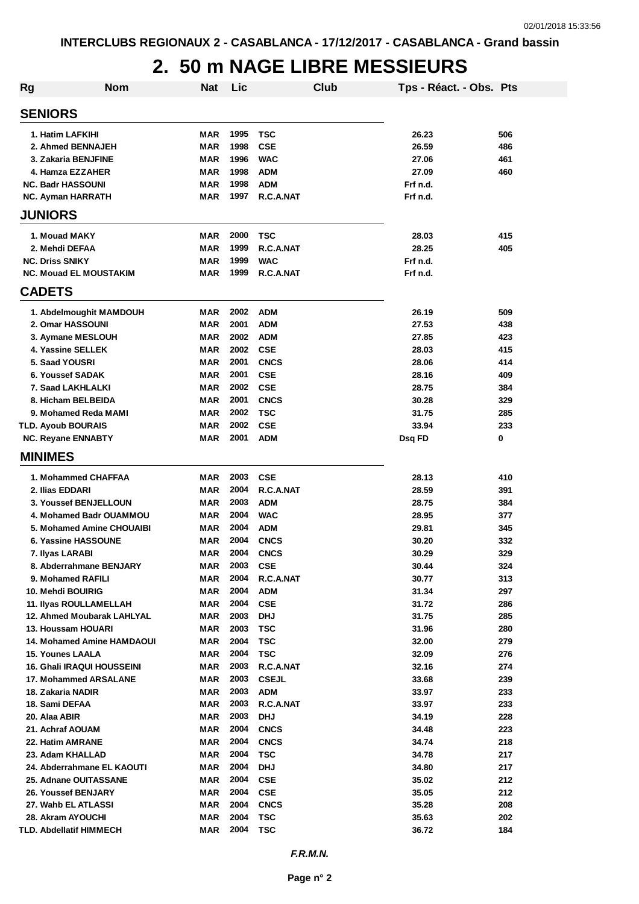### **2. 50 m NAGE LIBRE MESSIEURS**

| <b>Rg</b>                                    | <b>Nom</b>                        | <b>Nat</b> | Lic          |                          | <b>Club</b> | Tps - Réact. - Obs. Pts |            |
|----------------------------------------------|-----------------------------------|------------|--------------|--------------------------|-------------|-------------------------|------------|
| <b>SENIORS</b>                               |                                   |            |              |                          |             |                         |            |
| 1. Hatim LAFKIHI                             |                                   | MAR        | 1995         | <b>TSC</b>               |             | 26.23                   | 506        |
| 2. Ahmed BENNAJEH                            |                                   | <b>MAR</b> | 1998         | <b>CSE</b>               |             | 26.59                   | 486        |
| 3. Zakaria BENJFINE                          |                                   | MAR        | 1996         | <b>WAC</b>               |             | 27.06                   | 461        |
| 4. Hamza EZZAHER                             |                                   | MAR        | 1998         | <b>ADM</b>               |             | 27.09                   | 460        |
| <b>NC. Badr HASSOUNI</b>                     |                                   | MAR        | 1998         | <b>ADM</b>               |             | Frf n.d.                |            |
| <b>NC. Ayman HARRATH</b>                     |                                   | <b>MAR</b> | 1997         | R.C.A.NAT                |             | Frf n.d.                |            |
| <b>JUNIORS</b>                               |                                   |            |              |                          |             |                         |            |
| 1. Mouad MAKY                                |                                   | MAR        | 2000         | <b>TSC</b>               |             | 28.03                   | 415        |
| 2. Mehdi DEFAA                               |                                   | MAR        | 1999         | R.C.A.NAT                |             | 28.25                   | 405        |
| <b>NC. Driss SNIKY</b>                       |                                   | MAR        | 1999         | <b>WAC</b>               |             | Frf n.d.                |            |
| <b>NC. Mouad EL MOUSTAKIM</b>                |                                   | MAR        | 1999         | R.C.A.NAT                |             | Frf n.d.                |            |
| <b>CADETS</b>                                |                                   |            |              |                          |             |                         |            |
|                                              | 1. Abdelmoughit MAMDOUH           | MAR        | 2002         | <b>ADM</b>               |             | 26.19                   | 509        |
| 2. Omar HASSOUNI                             |                                   | MAR        | 2001         | <b>ADM</b>               |             | 27.53                   | 438        |
| 3. Aymane MESLOUH                            |                                   | <b>MAR</b> | 2002         | <b>ADM</b>               |             | 27.85                   | 423        |
| 4. Yassine SELLEK                            |                                   | <b>MAR</b> | 2002         | <b>CSE</b>               |             | 28.03                   | 415        |
| 5. Saad YOUSRI                               |                                   | <b>MAR</b> | 2001         | <b>CNCS</b>              |             | 28.06                   | 414        |
| 6. Youssef SADAK                             |                                   | <b>MAR</b> | 2001         | <b>CSE</b>               |             | 28.16                   | 409        |
| 7. Saad LAKHLALKI                            |                                   | <b>MAR</b> | 2002         | <b>CSE</b>               |             | 28.75                   | 384        |
| 8. Hicham BELBEIDA                           |                                   | <b>MAR</b> | 2001         | <b>CNCS</b>              |             | 30.28                   | 329        |
| 9. Mohamed Reda MAMI                         |                                   | <b>MAR</b> | 2002<br>2002 | <b>TSC</b><br><b>CSE</b> |             | 31.75                   | 285        |
| <b>TLD. Ayoub BOURAIS</b>                    |                                   | MAR<br>MAR | 2001         | <b>ADM</b>               |             | 33.94<br>Dsq FD         | 233<br>0   |
| <b>NC. Reyane ENNABTY</b>                    |                                   |            |              |                          |             |                         |            |
| <b>MINIMES</b>                               |                                   |            |              |                          |             |                         |            |
| 1. Mohammed CHAFFAA                          |                                   | MAR        | 2003         | <b>CSE</b>               |             | 28.13                   | 410        |
| 2. Ilias EDDARI                              |                                   | <b>MAR</b> | 2004         | R.C.A.NAT                |             | 28.59                   | 391        |
| 3. Youssef BENJELLOUN                        |                                   | <b>MAR</b> | 2003         | <b>ADM</b>               |             | 28.75                   | 384        |
|                                              | 4. Mohamed Badr OUAMMOU           | <b>MAR</b> | 2004         | <b>WAC</b>               |             | 28.95                   | 377        |
|                                              | 5. Mohamed Amine CHOUAIBI         | <b>MAR</b> | 2004         | <b>ADM</b>               |             | 29.81                   | 345        |
| 6. Yassine HASSOUNE                          |                                   | MAR        | 2004         | <b>CNCS</b>              |             | 30.20                   | 332        |
| 7. Ilyas LARABI                              |                                   | MAR        | 2004<br>2003 | <b>CNCS</b>              |             | 30.29                   | 329        |
| 9. Mohamed RAFILI                            | 8. Abderrahmane BENJARY           | MAR        | 2004         | <b>CSE</b><br>R.C.A.NAT  |             | 30.44<br>30.77          | 324        |
| 10. Mehdi BOUIRIG                            |                                   | MAR<br>MAR | 2004         | <b>ADM</b>               |             | 31.34                   | 313<br>297 |
| <b>11. Ilyas ROULLAMELLAH</b>                |                                   | MAR        | 2004         | <b>CSE</b>               |             | 31.72                   | 286        |
|                                              | 12. Ahmed Moubarak LAHLYAL        | MAR        | 2003         | <b>DHJ</b>               |             | 31.75                   | 285        |
| 13. Houssam HOUARI                           |                                   | MAR        | 2003         | <b>TSC</b>               |             | 31.96                   | 280        |
|                                              | <b>14. Mohamed Amine HAMDAOUI</b> | MAR        | 2004         | <b>TSC</b>               |             | 32.00                   | 279        |
| <b>15. Younes LAALA</b>                      |                                   | MAR        | 2004         | <b>TSC</b>               |             | 32.09                   | 276        |
|                                              | <b>16. Ghali IRAQUI HOUSSEINI</b> | MAR        | 2003         | R.C.A.NAT                |             | 32.16                   | 274        |
| 17. Mohammed ARSALANE                        |                                   | MAR        | 2003         | <b>CSEJL</b>             |             | 33.68                   | 239        |
| 18. Zakaria NADIR                            |                                   | MAR        | 2003         | <b>ADM</b>               |             | 33.97                   | 233        |
| 18. Sami DEFAA                               |                                   | MAR        | 2003         | R.C.A.NAT                |             | 33.97                   | 233        |
| 20. Alaa ABIR                                |                                   | MAR        | 2003         | <b>DHJ</b>               |             | 34.19                   | 228        |
| 21. Achraf AOUAM                             |                                   | MAR        | 2004         | <b>CNCS</b>              |             | 34.48                   | 223        |
| 22. Hatim AMRANE                             |                                   | MAR        | 2004         | <b>CNCS</b>              |             | 34.74                   | 218        |
| 23. Adam KHALLAD                             |                                   | MAR        | 2004         | <b>TSC</b>               |             | 34.78                   | 217        |
|                                              | 24. Abderrahmane EL KAOUTI        | MAR        | 2004<br>2004 | <b>DHJ</b>               |             | 34.80                   | 217        |
| 25. Adnane OUITASSANE<br>26. Youssef BENJARY |                                   | MAR        | 2004         | <b>CSE</b><br><b>CSE</b> |             | 35.02<br>35.05          | 212        |
| 27. Wahb EL ATLASSI                          |                                   | MAR        | 2004         | <b>CNCS</b>              |             | 35.28                   | 212<br>208 |
| 28. Akram AYOUCHI                            |                                   | MAR<br>MAR | 2004         | <b>TSC</b>               |             | 35.63                   | 202        |
| TLD. Abdellatif HIMMECH                      |                                   | MAR        | 2004         | <b>TSC</b>               |             | 36.72                   | 184        |
|                                              |                                   |            |              |                          |             |                         |            |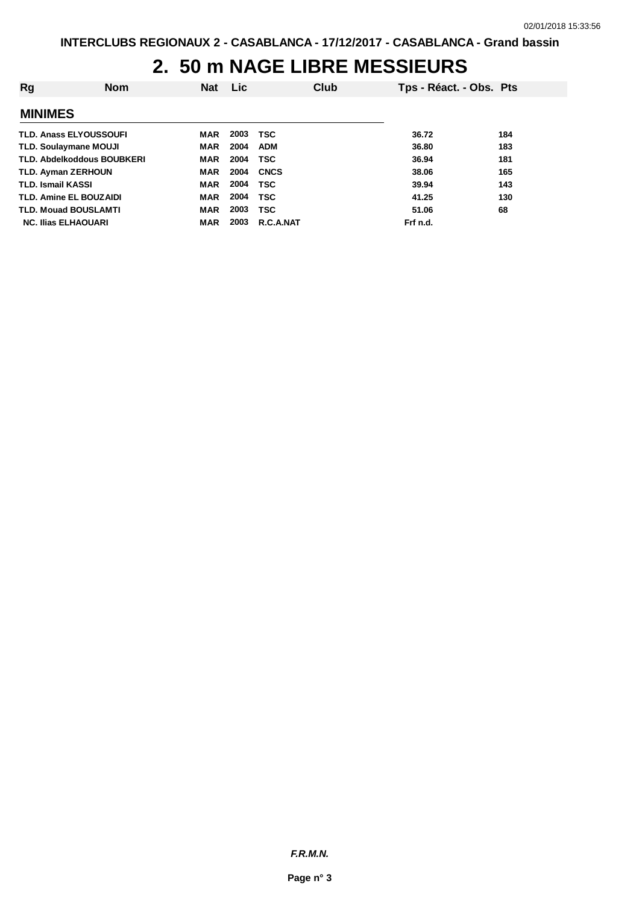### **2. 50 m NAGE LIBRE MESSIEURS**

| Rg                                | <b>Nom</b> | <b>Nat</b> | <b>Lic</b> |             | Club | Tps - Réact. - Obs. Pts |     |
|-----------------------------------|------------|------------|------------|-------------|------|-------------------------|-----|
| <b>MINIMES</b>                    |            |            |            |             |      |                         |     |
| <b>TLD. Anass ELYOUSSOUFI</b>     |            | MAR        | 2003       | <b>TSC</b>  |      | 36.72                   | 184 |
| <b>TLD. Soulaymane MOUJI</b>      |            | MAR        | 2004       | <b>ADM</b>  |      | 36.80                   | 183 |
| <b>TLD. Abdelkoddous BOUBKERI</b> |            | <b>MAR</b> | 2004       | TSC         |      | 36.94                   | 181 |
| <b>TLD. Ayman ZERHOUN</b>         |            | <b>MAR</b> | 2004       | <b>CNCS</b> |      | 38.06                   | 165 |
| <b>TLD. Ismail KASSI</b>          |            | <b>MAR</b> | 2004       | <b>TSC</b>  |      | 39.94                   | 143 |
| <b>TLD. Amine EL BOUZAIDI</b>     |            | <b>MAR</b> | 2004       | TSC         |      | 41.25                   | 130 |
| <b>TLD. Mouad BOUSLAMTI</b>       |            | <b>MAR</b> | 2003       | <b>TSC</b>  |      | 51.06                   | 68  |
| <b>NC. Ilias ELHAOUARI</b>        |            | MAR        | 2003       | R.C.A.NAT   |      | Frf n.d.                |     |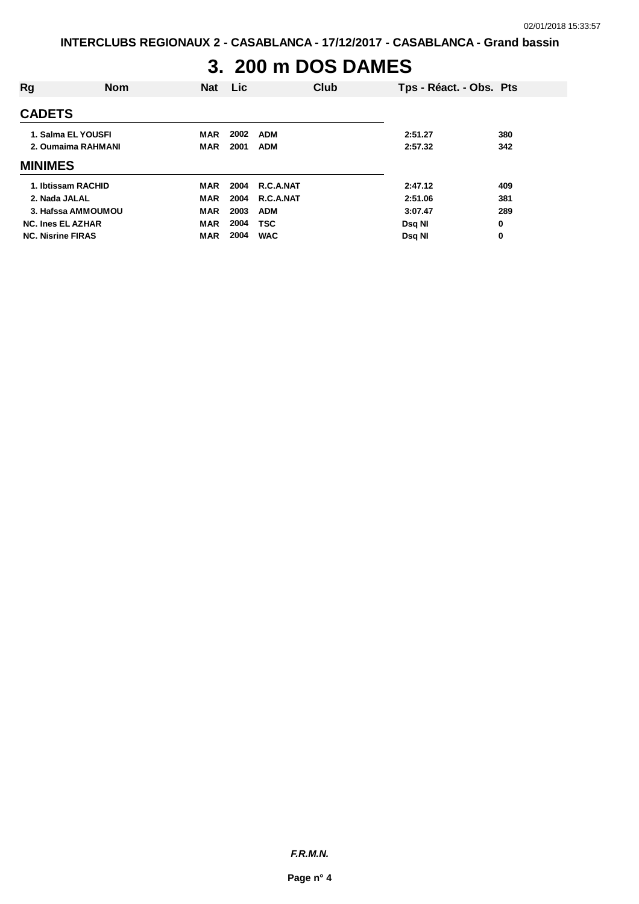### **3. 200 m DOS DAMES**

| Rg                       | <b>Nom</b>         | <b>Nat</b> | <b>Lic</b> | Club       |               | Tps - Réact. - Obs. Pts |
|--------------------------|--------------------|------------|------------|------------|---------------|-------------------------|
| <b>CADETS</b>            |                    |            |            |            |               |                         |
|                          | 1. Salma EL YOUSFI | <b>MAR</b> | 2002       | ADM        | 2:51.27       | 380                     |
|                          | 2. Oumaima RAHMANI | <b>MAR</b> | 2001       | <b>ADM</b> | 2:57.32       | 342                     |
| <b>MINIMES</b>           |                    |            |            |            |               |                         |
|                          | 1. Ibtissam RACHID | MAR        | 2004       | R.C.A.NAT  | 2:47.12       | 409                     |
| 2. Nada JALAL            |                    | <b>MAR</b> | 2004       | R.C.A.NAT  | 2:51.06       | 381                     |
|                          | 3. Hafssa AMMOUMOU | <b>MAR</b> | 2003       | <b>ADM</b> | 3:07.47       | 289                     |
| <b>NC. Ines EL AZHAR</b> |                    | <b>MAR</b> | 2004       | <b>TSC</b> | <b>Dsg NI</b> | 0                       |
| <b>NC. Nisrine FIRAS</b> |                    | <b>MAR</b> | 2004       | <b>WAC</b> | Dsg NI        | 0                       |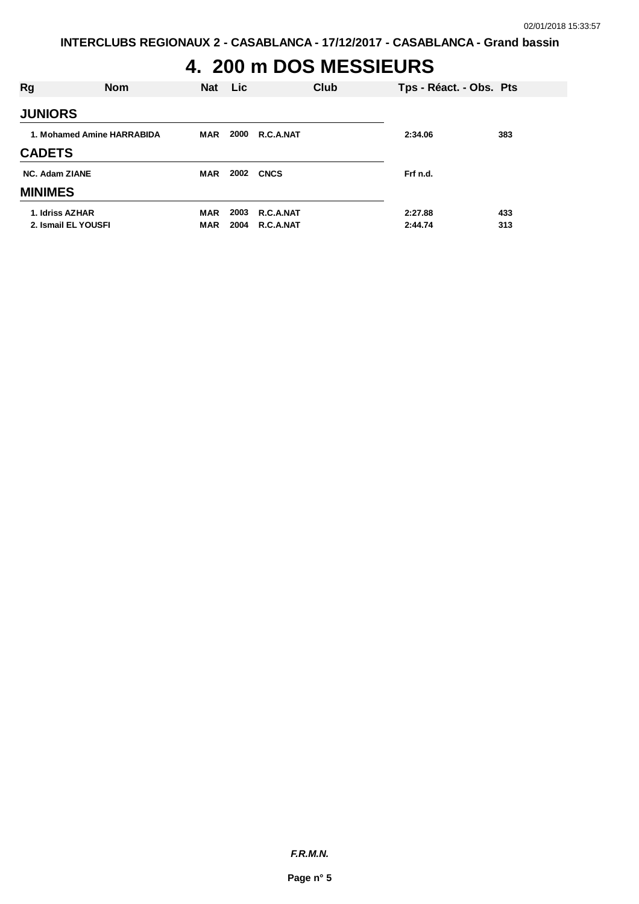# **4. 200 m DOS MESSIEURS**

| Rg                    | <b>Nom</b>                 | <b>Nat</b> | Lic  |             | Club | Tps - Réact. - Obs. Pts |     |
|-----------------------|----------------------------|------------|------|-------------|------|-------------------------|-----|
| <b>JUNIORS</b>        |                            |            |      |             |      |                         |     |
|                       | 1. Mohamed Amine HARRABIDA | MAR        | 2000 | R.C.A.NAT   |      | 2:34.06                 | 383 |
| <b>CADETS</b>         |                            |            |      |             |      |                         |     |
| <b>NC. Adam ZIANE</b> |                            | <b>MAR</b> | 2002 | <b>CNCS</b> |      | Frf n.d.                |     |
| <b>MINIMES</b>        |                            |            |      |             |      |                         |     |
| 1. Idriss AZHAR       |                            | MAR        | 2003 | R.C.A.NAT   |      | 2:27.88                 | 433 |
|                       | 2. Ismail EL YOUSFI        | <b>MAR</b> | 2004 | R.C.A.NAT   |      | 2:44.74                 | 313 |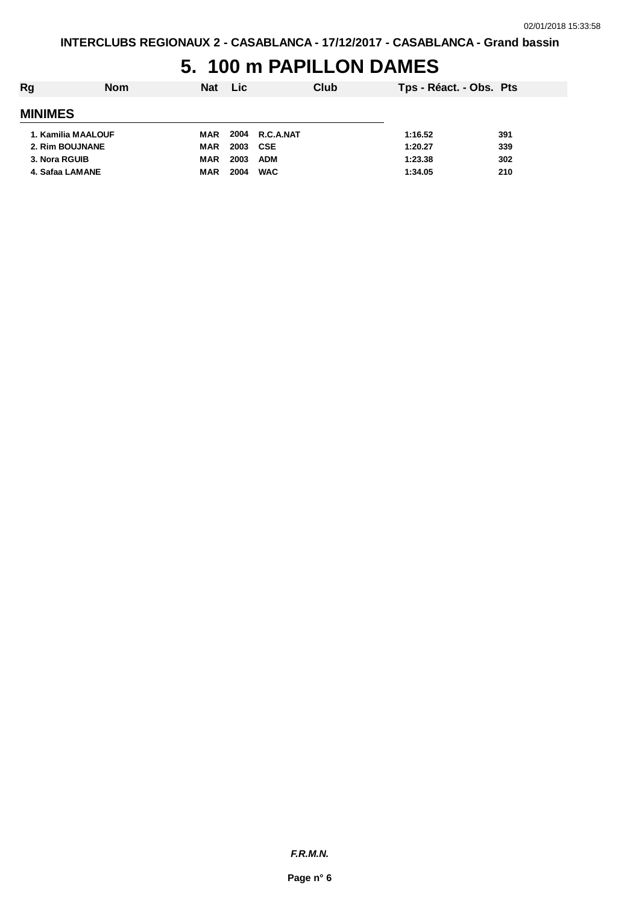### **5. 100 m PAPILLON DAMES**

| Rg                 | <b>Nom</b> | <b>Nat</b> | <b>Lic</b> |                | Club | Tps - Réact. - Obs. Pts |     |
|--------------------|------------|------------|------------|----------------|------|-------------------------|-----|
| <b>MINIMES</b>     |            |            |            |                |      |                         |     |
| 1. Kamilia MAALOUF |            | MAR        |            | 2004 R.C.A.NAT |      | 1:16.52                 | 391 |
| 2. Rim BOUJNANE    |            | MAR        | 2003       | CSE            |      | 1:20.27                 | 339 |
| 3. Nora RGUIB      |            | <b>MAR</b> | 2003       | <b>ADM</b>     |      | 1:23.38                 | 302 |
| 4. Safaa LAMANE    |            | <b>MAR</b> | 2004       | <b>WAC</b>     |      | 1:34.05                 | 210 |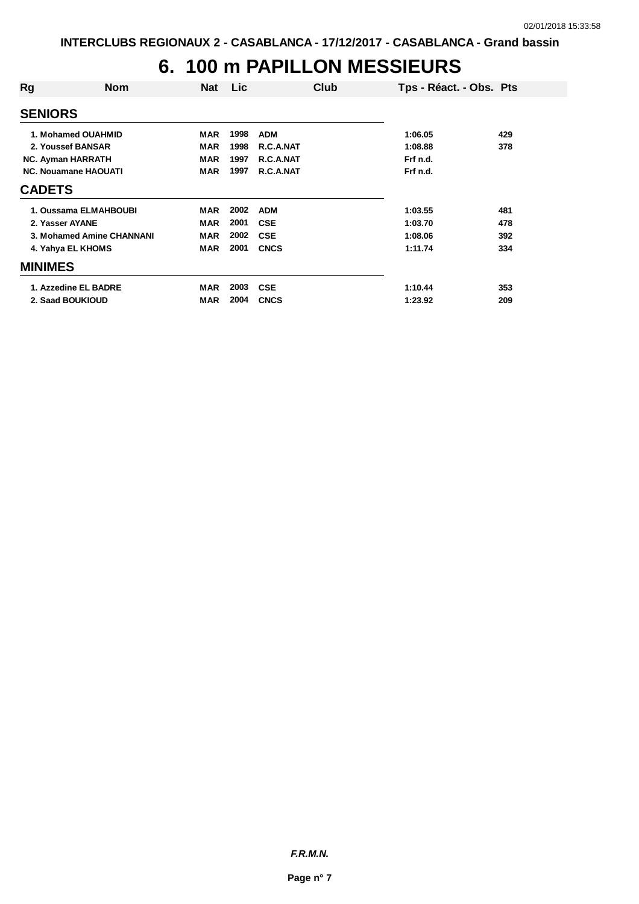### **6. 100 m PAPILLON MESSIEURS**

| Rg                          | <b>Nom</b>                | <b>Nat</b> | <b>Lic</b> | Club        | Tps - Réact. - Obs. Pts |     |
|-----------------------------|---------------------------|------------|------------|-------------|-------------------------|-----|
| <b>SENIORS</b>              |                           |            |            |             |                         |     |
|                             | 1. Mohamed OUAHMID        | <b>MAR</b> | 1998       | <b>ADM</b>  | 1:06.05                 | 429 |
| 2. Youssef BANSAR           |                           | <b>MAR</b> | 1998       | R.C.A.NAT   | 1:08.88                 | 378 |
| <b>NC. Ayman HARRATH</b>    |                           | <b>MAR</b> | 1997       | R.C.A.NAT   | Frf n.d.                |     |
| <b>NC. Nouamane HAOUATI</b> | <b>MAR</b>                | 1997       | R.C.A.NAT  | Frf n.d.    |                         |     |
| <b>CADETS</b>               |                           |            |            |             |                         |     |
|                             | 1. Oussama ELMAHBOUBI     | <b>MAR</b> | 2002       | <b>ADM</b>  | 1:03.55                 | 481 |
| 2. Yasser AYANE             |                           | <b>MAR</b> | 2001       | <b>CSE</b>  | 1:03.70                 | 478 |
|                             | 3. Mohamed Amine CHANNANI | <b>MAR</b> | 2002       | <b>CSE</b>  | 1:08.06                 | 392 |
|                             | 4. Yahya EL KHOMS         | <b>MAR</b> | 2001       | <b>CNCS</b> | 1:11.74                 | 334 |
| <b>MINIMES</b>              |                           |            |            |             |                         |     |
|                             | 1. Azzedine EL BADRE      | <b>MAR</b> | 2003       | <b>CSE</b>  | 1:10.44                 | 353 |
|                             | 2. Saad BOUKIOUD          | <b>MAR</b> | 2004       | <b>CNCS</b> | 1:23.92                 | 209 |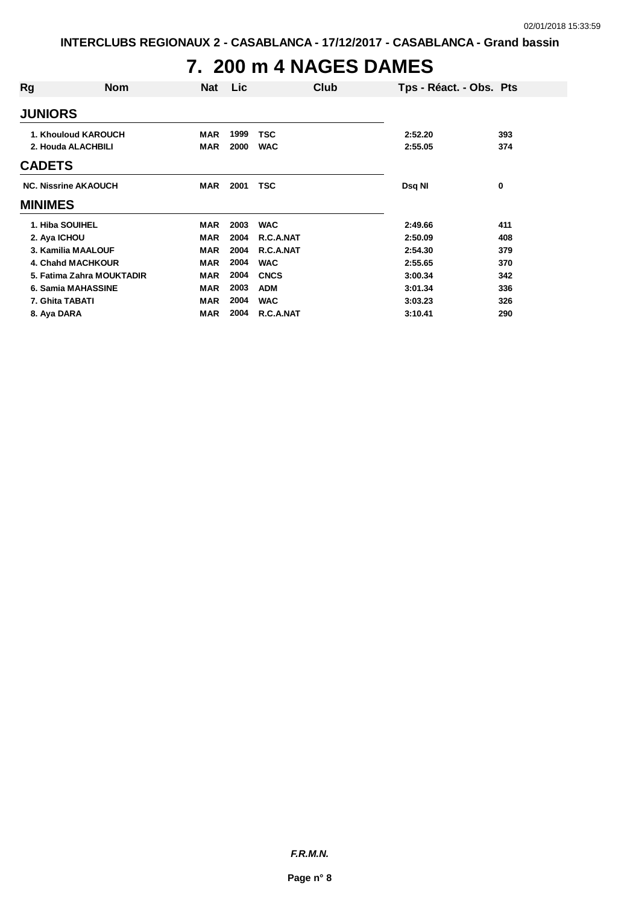# **7. 200 m 4 NAGES DAMES**

| Rg                 | <b>Nom</b>                  | <b>Nat</b> | Lic  | Club        | Tps - Réact. - Obs. Pts |     |
|--------------------|-----------------------------|------------|------|-------------|-------------------------|-----|
| <b>JUNIORS</b>     |                             |            |      |             |                         |     |
|                    | 1. Khouloud KAROUCH         | MAR        | 1999 | <b>TSC</b>  | 2:52.20                 | 393 |
| 2. Houda ALACHBILI |                             | <b>MAR</b> | 2000 | <b>WAC</b>  | 2:55.05                 | 374 |
| <b>CADETS</b>      |                             |            |      |             |                         |     |
|                    | <b>NC. Nissrine AKAOUCH</b> | <b>MAR</b> | 2001 | <b>TSC</b>  | Dsq NI                  | 0   |
| <b>MINIMES</b>     |                             |            |      |             |                         |     |
| 1. Hiba SOUIHEL    |                             | <b>MAR</b> | 2003 | <b>WAC</b>  | 2:49.66                 | 411 |
| 2. Aya ICHOU       |                             | <b>MAR</b> | 2004 | R.C.A.NAT   | 2:50.09                 | 408 |
|                    | 3. Kamilia MAALOUF          | <b>MAR</b> | 2004 | R.C.A.NAT   | 2:54.30                 | 379 |
|                    | <b>4. Chand MACHKOUR</b>    | <b>MAR</b> | 2004 | <b>WAC</b>  | 2:55.65                 | 370 |
|                    | 5. Fatima Zahra MOUKTADIR   | <b>MAR</b> | 2004 | <b>CNCS</b> | 3:00.34                 | 342 |
|                    | 6. Samia MAHASSINE          | <b>MAR</b> | 2003 | <b>ADM</b>  | 3:01.34                 | 336 |
| 7. Ghita TABATI    |                             | <b>MAR</b> | 2004 | <b>WAC</b>  | 3:03.23                 | 326 |
| 8. Aya DARA        |                             | MAR        | 2004 | R.C.A.NAT   | 3:10.41                 | 290 |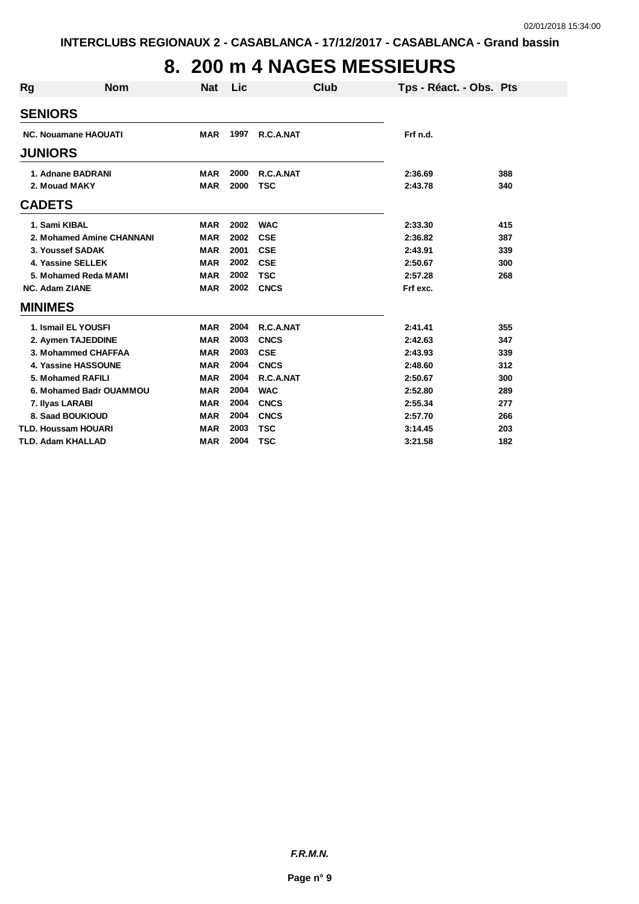### **8. 200 m 4 NAGES MESSIEURS**

| Rg                    | <b>Nom</b>                  | <b>Nat</b> | Lic  | Club        | Tps - Réact. - Obs. Pts |     |
|-----------------------|-----------------------------|------------|------|-------------|-------------------------|-----|
| <b>SENIORS</b>        |                             |            |      |             |                         |     |
|                       | <b>NC. Nouamane HAOUATI</b> | <b>MAR</b> | 1997 | R.C.A.NAT   | Frf n.d.                |     |
| <b>JUNIORS</b>        |                             |            |      |             |                         |     |
|                       | 1. Adnane BADRANI           | <b>MAR</b> | 2000 | R.C.A.NAT   | 2:36.69                 | 388 |
|                       | 2. Mouad MAKY               | <b>MAR</b> | 2000 | <b>TSC</b>  | 2:43.78                 | 340 |
| <b>CADETS</b>         |                             |            |      |             |                         |     |
|                       | 1. Sami KIBAL               | <b>MAR</b> | 2002 | <b>WAC</b>  | 2:33.30                 | 415 |
|                       | 2. Mohamed Amine CHANNANI   | <b>MAR</b> | 2002 | <b>CSE</b>  | 2:36.82                 | 387 |
|                       | 3. Youssef SADAK            | <b>MAR</b> | 2001 | <b>CSE</b>  | 2:43.91                 | 339 |
|                       | 4. Yassine SELLEK           | <b>MAR</b> | 2002 | <b>CSE</b>  | 2:50.67                 | 300 |
|                       | 5. Mohamed Reda MAMI        | <b>MAR</b> | 2002 | <b>TSC</b>  | 2:57.28                 | 268 |
| <b>NC. Adam ZIANE</b> |                             | <b>MAR</b> | 2002 | <b>CNCS</b> | Frf exc.                |     |
| <b>MINIMES</b>        |                             |            |      |             |                         |     |
|                       | 1. Ismail EL YOUSFI         | <b>MAR</b> | 2004 | R.C.A.NAT   | 2:41.41                 | 355 |
|                       | 2. Aymen TAJEDDINE          | <b>MAR</b> | 2003 | <b>CNCS</b> | 2:42.63                 | 347 |
|                       | 3. Mohammed CHAFFAA         | <b>MAR</b> | 2003 | <b>CSE</b>  | 2:43.93                 | 339 |
|                       | 4. Yassine HASSOUNE         | <b>MAR</b> | 2004 | <b>CNCS</b> | 2:48.60                 | 312 |
|                       | 5. Mohamed RAFILI           | <b>MAR</b> | 2004 | R.C.A.NAT   | 2:50.67                 | 300 |
|                       | 6. Mohamed Badr OUAMMOU     | <b>MAR</b> | 2004 | <b>WAC</b>  | 2:52.80                 | 289 |
|                       | 7. Ilyas LARABI             | <b>MAR</b> | 2004 | <b>CNCS</b> | 2:55.34                 | 277 |
|                       | 8. Saad BOUKIOUD            | <b>MAR</b> | 2004 | <b>CNCS</b> | 2:57.70                 | 266 |
|                       | <b>TLD. Houssam HOUARI</b>  | <b>MAR</b> | 2003 | <b>TSC</b>  | 3:14.45                 | 203 |
|                       | <b>TLD. Adam KHALLAD</b>    | <b>MAR</b> | 2004 | <b>TSC</b>  | 3:21.58                 | 182 |

*F.R.M.N.*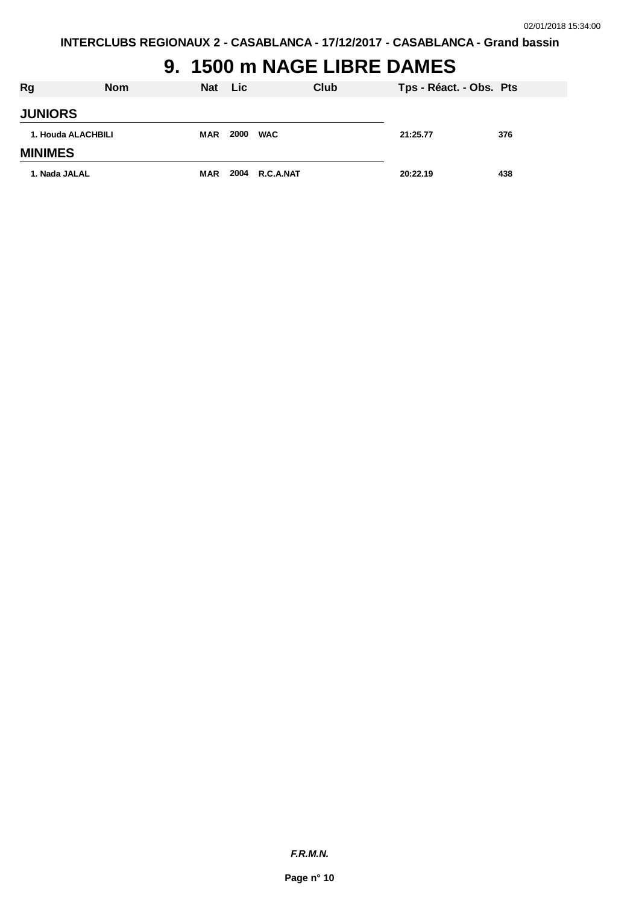### **9. 1500 m NAGE LIBRE DAMES**

| Rg                 | <b>Nom</b> | Nat Lic    |      |                | Club | Tps - Réact. - Obs. Pts |     |
|--------------------|------------|------------|------|----------------|------|-------------------------|-----|
| <b>JUNIORS</b>     |            |            |      |                |      |                         |     |
| 1. Houda ALACHBILI |            | <b>MAR</b> | 2000 | <b>WAC</b>     |      | 21:25.77                | 376 |
| <b>MINIMES</b>     |            |            |      |                |      |                         |     |
| 1. Nada JALAL      |            | MAR        |      | 2004 R.C.A.NAT |      | 20:22.19                | 438 |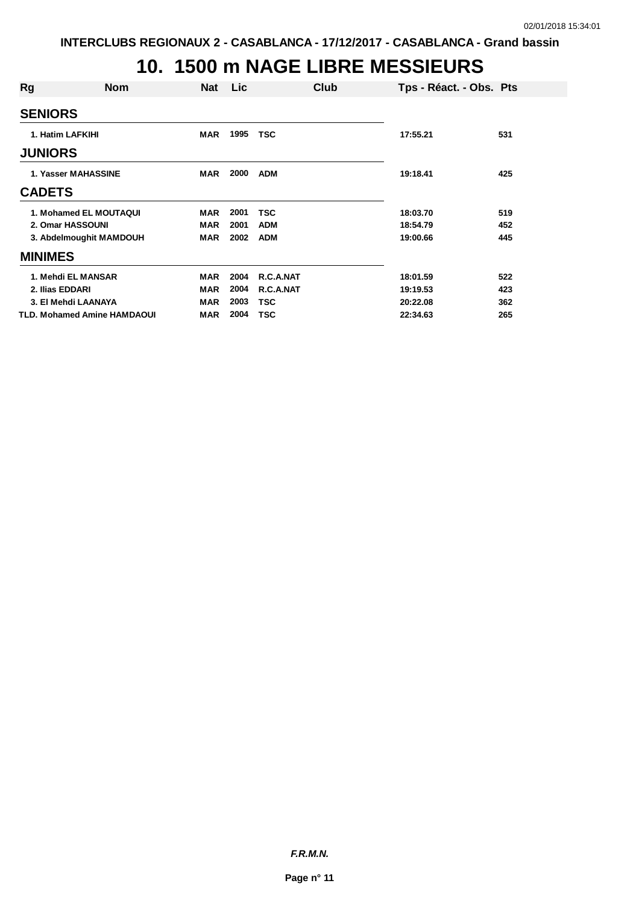### **10. 1500 m NAGE LIBRE MESSIEURS**

| Rg                          | <b>Nom</b> | <b>Nat</b> | Lic. |            | Club | Tps - Réact. - Obs. Pts |     |
|-----------------------------|------------|------------|------|------------|------|-------------------------|-----|
| <b>SENIORS</b>              |            |            |      |            |      |                         |     |
| 1. Hatim LAFKIHI            |            | <b>MAR</b> | 1995 | <b>TSC</b> |      | 17:55.21                | 531 |
| <b>JUNIORS</b>              |            |            |      |            |      |                         |     |
| 1. Yasser MAHASSINE         |            | <b>MAR</b> | 2000 | <b>ADM</b> |      | 19:18.41                | 425 |
| <b>CADETS</b>               |            |            |      |            |      |                         |     |
| 1. Mohamed EL MOUTAQUI      |            | <b>MAR</b> | 2001 | <b>TSC</b> |      | 18:03.70                | 519 |
| 2. Omar HASSOUNI            |            | <b>MAR</b> | 2001 | <b>ADM</b> |      | 18:54.79                | 452 |
| 3. Abdelmoughit MAMDOUH     |            | <b>MAR</b> | 2002 | <b>ADM</b> |      | 19:00.66                | 445 |
| <b>MINIMES</b>              |            |            |      |            |      |                         |     |
| 1. Mehdi EL MANSAR          |            | <b>MAR</b> | 2004 | R.C.A.NAT  |      | 18:01.59                | 522 |
| 2. Ilias EDDARI             |            | <b>MAR</b> | 2004 | R.C.A.NAT  |      | 19:19.53                | 423 |
| 3. El Mehdi LAANAYA         |            | <b>MAR</b> | 2003 | <b>TSC</b> |      | 20:22.08                | 362 |
| TLD. Mohamed Amine HAMDAOUI |            | <b>MAR</b> | 2004 | <b>TSC</b> |      | 22:34.63                | 265 |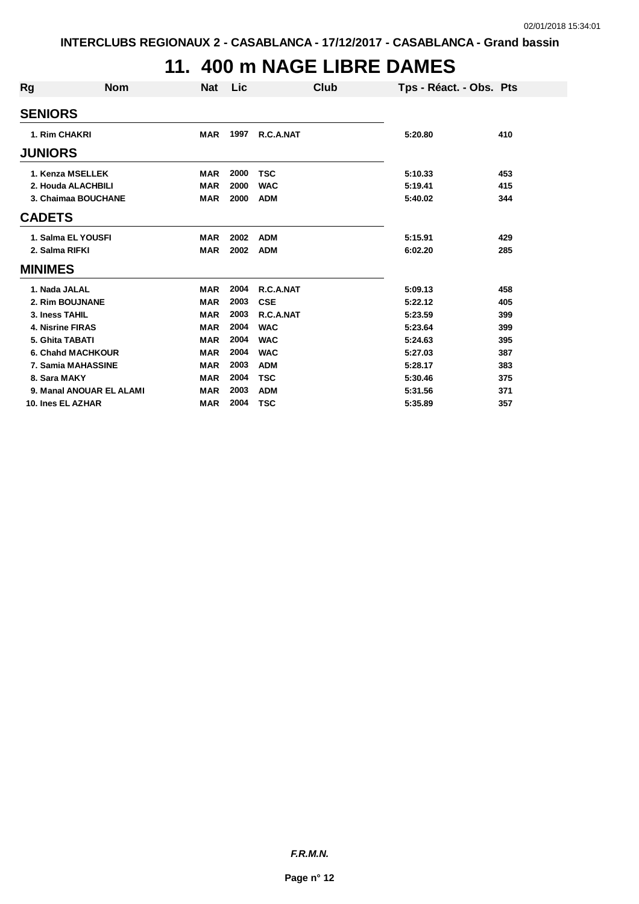# **11. 400 m NAGE LIBRE DAMES**

| Rg             | <b>Nom</b>               | <b>Nat</b> | Lic  | Club       |         | Tps - Réact. - Obs. Pts |
|----------------|--------------------------|------------|------|------------|---------|-------------------------|
|                | <b>SENIORS</b>           |            |      |            |         |                         |
|                | 1. Rim CHAKRI            | <b>MAR</b> | 1997 | R.C.A.NAT  | 5:20.80 | 410                     |
|                | <b>JUNIORS</b>           |            |      |            |         |                         |
|                | 1. Kenza MSELLEK         | <b>MAR</b> | 2000 | <b>TSC</b> | 5:10.33 | 453                     |
|                | 2. Houda ALACHBILI       | <b>MAR</b> | 2000 | <b>WAC</b> | 5:19.41 | 415                     |
|                | 3. Chaimaa BOUCHANE      | <b>MAR</b> | 2000 | <b>ADM</b> | 5:40.02 | 344                     |
| <b>CADETS</b>  |                          |            |      |            |         |                         |
|                | 1. Salma EL YOUSFI       | <b>MAR</b> | 2002 | <b>ADM</b> | 5:15.91 | 429                     |
|                | 2. Salma RIFKI           | <b>MAR</b> | 2002 | <b>ADM</b> | 6:02.20 | 285                     |
| <b>MINIMES</b> |                          |            |      |            |         |                         |
|                | 1. Nada JALAL            | <b>MAR</b> | 2004 | R.C.A.NAT  | 5:09.13 | 458                     |
|                | 2. Rim BOUJNANE          | <b>MAR</b> | 2003 | <b>CSE</b> | 5:22.12 | 405                     |
|                | 3. Iness TAHIL           | <b>MAR</b> | 2003 | R.C.A.NAT  | 5:23.59 | 399                     |
|                | <b>4. Nisrine FIRAS</b>  | <b>MAR</b> | 2004 | <b>WAC</b> | 5:23.64 | 399                     |
|                | 5. Ghita TABATI          | <b>MAR</b> | 2004 | <b>WAC</b> | 5:24.63 | 395                     |
|                | 6. Chahd MACHKOUR        | <b>MAR</b> | 2004 | <b>WAC</b> | 5:27.03 | 387                     |
|                | 7. Samia MAHASSINE       | <b>MAR</b> | 2003 | <b>ADM</b> | 5:28.17 | 383                     |
|                | 8. Sara MAKY             | <b>MAR</b> | 2004 | <b>TSC</b> | 5:30.46 | 375                     |
|                | 9. Manal ANOUAR EL ALAMI | <b>MAR</b> | 2003 | <b>ADM</b> | 5:31.56 | 371                     |
|                | 10. Ines EL AZHAR        | <b>MAR</b> | 2004 | <b>TSC</b> | 5:35.89 | 357                     |

*F.R.M.N.*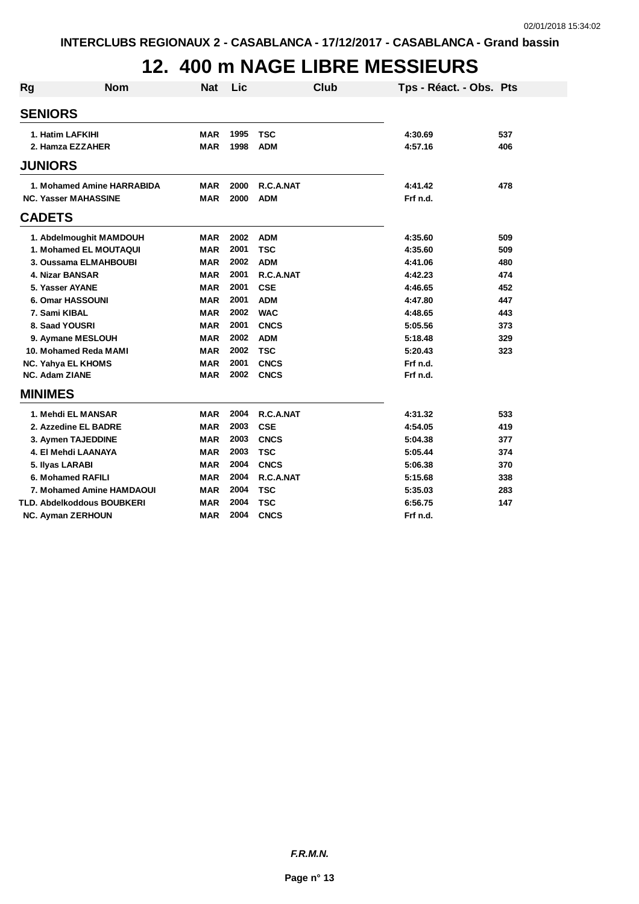### **12. 400 m NAGE LIBRE MESSIEURS**

| Rg                        | <b>Nom</b>                  | <b>Nat</b> | Lic  | Club        | Tps - Réact. - Obs. Pts |     |
|---------------------------|-----------------------------|------------|------|-------------|-------------------------|-----|
| <b>SENIORS</b>            |                             |            |      |             |                         |     |
| 1. Hatim LAFKIHI          |                             | <b>MAR</b> | 1995 | <b>TSC</b>  | 4:30.69                 | 537 |
|                           | 2. Hamza EZZAHER            | <b>MAR</b> | 1998 | <b>ADM</b>  | 4:57.16                 | 406 |
| <b>JUNIORS</b>            |                             |            |      |             |                         |     |
|                           | 1. Mohamed Amine HARRABIDA  | MAR        | 2000 | R.C.A.NAT   | 4:41.42                 | 478 |
|                           | <b>NC. Yasser MAHASSINE</b> | <b>MAR</b> | 2000 | <b>ADM</b>  | Frf n.d.                |     |
| <b>CADETS</b>             |                             |            |      |             |                         |     |
|                           | 1. Abdelmoughit MAMDOUH     | MAR        | 2002 | <b>ADM</b>  | 4:35.60                 | 509 |
|                           | 1. Mohamed EL MOUTAQUI      | <b>MAR</b> | 2001 | <b>TSC</b>  | 4:35.60                 | 509 |
|                           | 3. Oussama ELMAHBOUBI       | <b>MAR</b> | 2002 | <b>ADM</b>  | 4:41.06                 | 480 |
| 4. Nizar BANSAR           |                             | <b>MAR</b> | 2001 | R.C.A.NAT   | 4:42.23                 | 474 |
| 5. Yasser AYANE           |                             | <b>MAR</b> | 2001 | <b>CSE</b>  | 4:46.65                 | 452 |
|                           | 6. Omar HASSOUNI            | <b>MAR</b> | 2001 | <b>ADM</b>  | 4:47.80                 | 447 |
| 7. Sami KIBAL             |                             | <b>MAR</b> | 2002 | <b>WAC</b>  | 4:48.65                 | 443 |
| 8. Saad YOUSRI            |                             | <b>MAR</b> | 2001 | <b>CNCS</b> | 5:05.56                 | 373 |
|                           | 9. Aymane MESLOUH           | <b>MAR</b> | 2002 | <b>ADM</b>  | 5:18.48                 | 329 |
|                           | 10. Mohamed Reda MAMI       | <b>MAR</b> | 2002 | <b>TSC</b>  | 5:20.43                 | 323 |
| <b>NC. Yahya EL KHOMS</b> |                             | <b>MAR</b> | 2001 | <b>CNCS</b> | Frf n.d.                |     |
| <b>NC. Adam ZIANE</b>     |                             | <b>MAR</b> | 2002 | <b>CNCS</b> | Frf n.d.                |     |
| <b>MINIMES</b>            |                             |            |      |             |                         |     |
|                           | 1. Mehdi EL MANSAR          | <b>MAR</b> | 2004 | R.C.A.NAT   | 4:31.32                 | 533 |
|                           | 2. Azzedine EL BADRE        | <b>MAR</b> | 2003 | <b>CSE</b>  | 4:54.05                 | 419 |
|                           | 3. Aymen TAJEDDINE          | <b>MAR</b> | 2003 | <b>CNCS</b> | 5:04.38                 | 377 |
|                           | 4. El Mehdi LAANAYA         | <b>MAR</b> | 2003 | <b>TSC</b>  | 5:05.44                 | 374 |
| 5. Ilyas LARABI           |                             | <b>MAR</b> | 2004 | <b>CNCS</b> | 5:06.38                 | 370 |
|                           | 6. Mohamed RAFILI           | <b>MAR</b> | 2004 | R.C.A.NAT   | 5:15.68                 | 338 |
|                           | 7. Mohamed Amine HAMDAOUI   | <b>MAR</b> | 2004 | <b>TSC</b>  | 5:35.03                 | 283 |
|                           | TLD. Abdelkoddous BOUBKERI  | <b>MAR</b> | 2004 | <b>TSC</b>  | 6:56.75                 | 147 |
| <b>NC. Ayman ZERHOUN</b>  |                             | <b>MAR</b> | 2004 | <b>CNCS</b> | Frf n.d.                |     |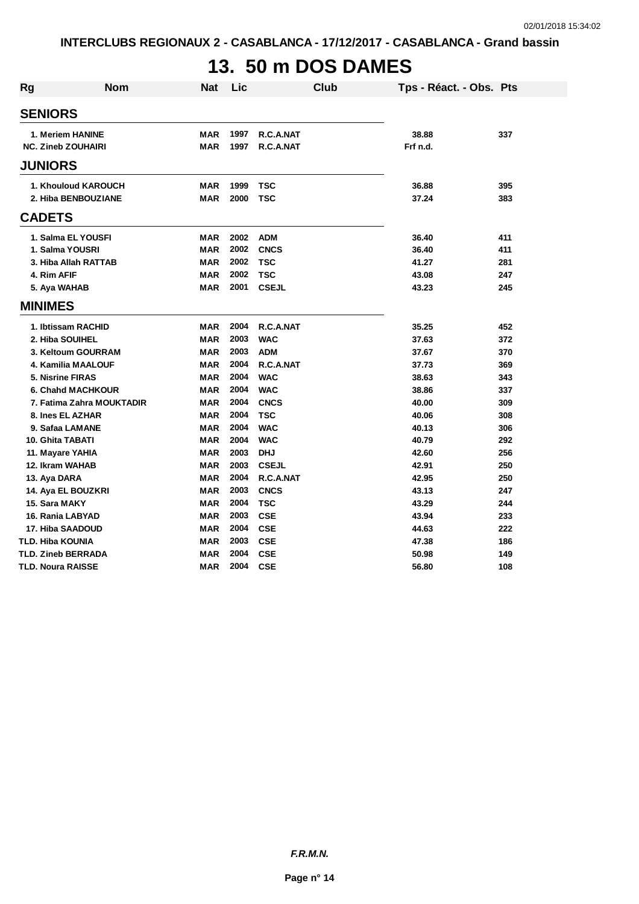# **13. 50 m DOS DAMES**

| Rg | <b>Nom</b>                | <b>Nat</b> | Lic  | <b>Club</b>  | Tps - Réact. - Obs. Pts |     |
|----|---------------------------|------------|------|--------------|-------------------------|-----|
|    | <b>SENIORS</b>            |            |      |              |                         |     |
|    | 1. Meriem HANINE          | <b>MAR</b> | 1997 | R.C.A.NAT    | 38.88                   | 337 |
|    | <b>NC. Zineb ZOUHAIRI</b> | <b>MAR</b> | 1997 | R.C.A.NAT    | Frf n.d.                |     |
|    | <b>JUNIORS</b>            |            |      |              |                         |     |
|    | 1. Khouloud KAROUCH       | <b>MAR</b> | 1999 | <b>TSC</b>   | 36.88                   | 395 |
|    | 2. Hiba BENBOUZIANE       | <b>MAR</b> | 2000 | <b>TSC</b>   | 37.24                   | 383 |
|    | <b>CADETS</b>             |            |      |              |                         |     |
|    | 1. Salma EL YOUSFI        | <b>MAR</b> | 2002 | <b>ADM</b>   | 36.40                   | 411 |
|    | 1. Salma YOUSRI           | <b>MAR</b> | 2002 | <b>CNCS</b>  | 36.40                   | 411 |
|    | 3. Hiba Allah RATTAB      | <b>MAR</b> | 2002 | <b>TSC</b>   | 41.27                   | 281 |
|    | 4. Rim AFIF               | <b>MAR</b> | 2002 | <b>TSC</b>   | 43.08                   | 247 |
|    | 5. Aya WAHAB              | <b>MAR</b> | 2001 | <b>CSEJL</b> | 43.23                   | 245 |
|    | <b>MINIMES</b>            |            |      |              |                         |     |
|    | 1. Ibtissam RACHID        | <b>MAR</b> | 2004 | R.C.A.NAT    | 35.25                   | 452 |
|    | 2. Hiba SOUIHEL           | <b>MAR</b> | 2003 | <b>WAC</b>   | 37.63                   | 372 |
|    | 3. Keltoum GOURRAM        | <b>MAR</b> | 2003 | <b>ADM</b>   | 37.67                   | 370 |
|    | 4. Kamilia MAALOUF        | <b>MAR</b> | 2004 | R.C.A.NAT    | 37.73                   | 369 |
|    | 5. Nisrine FIRAS          | <b>MAR</b> | 2004 | <b>WAC</b>   | 38.63                   | 343 |
|    | <b>6. Chand MACHKOUR</b>  | <b>MAR</b> | 2004 | <b>WAC</b>   | 38.86                   | 337 |
|    | 7. Fatima Zahra MOUKTADIR | <b>MAR</b> | 2004 | <b>CNCS</b>  | 40.00                   | 309 |
|    | 8. Ines EL AZHAR          | <b>MAR</b> | 2004 | <b>TSC</b>   | 40.06                   | 308 |
|    | 9. Safaa LAMANE           | <b>MAR</b> | 2004 | <b>WAC</b>   | 40.13                   | 306 |
|    | 10. Ghita TABATI          | <b>MAR</b> | 2004 | <b>WAC</b>   | 40.79                   | 292 |
|    | 11. Mayare YAHIA          | <b>MAR</b> | 2003 | <b>DHJ</b>   | 42.60                   | 256 |
|    | 12. Ikram WAHAB           | <b>MAR</b> | 2003 | <b>CSEJL</b> | 42.91                   | 250 |
|    | 13. Aya DARA              | <b>MAR</b> | 2004 | R.C.A.NAT    | 42.95                   | 250 |
|    | 14. Aya EL BOUZKRI        | <b>MAR</b> | 2003 | <b>CNCS</b>  | 43.13                   | 247 |
|    | 15. Sara MAKY             | <b>MAR</b> | 2004 | <b>TSC</b>   | 43.29                   | 244 |
|    | 16. Rania LABYAD          | <b>MAR</b> | 2003 | <b>CSE</b>   | 43.94                   | 233 |
|    | 17. Hiba SAADOUD          | <b>MAR</b> | 2004 | <b>CSE</b>   | 44.63                   | 222 |
|    | TLD. Hiba KOUNIA          | <b>MAR</b> | 2003 | <b>CSE</b>   | 47.38                   | 186 |
|    | <b>TLD. Zineb BERRADA</b> | <b>MAR</b> | 2004 | <b>CSE</b>   | 50.98                   | 149 |
|    | <b>TLD. Noura RAISSE</b>  | <b>MAR</b> | 2004 | <b>CSE</b>   | 56.80                   | 108 |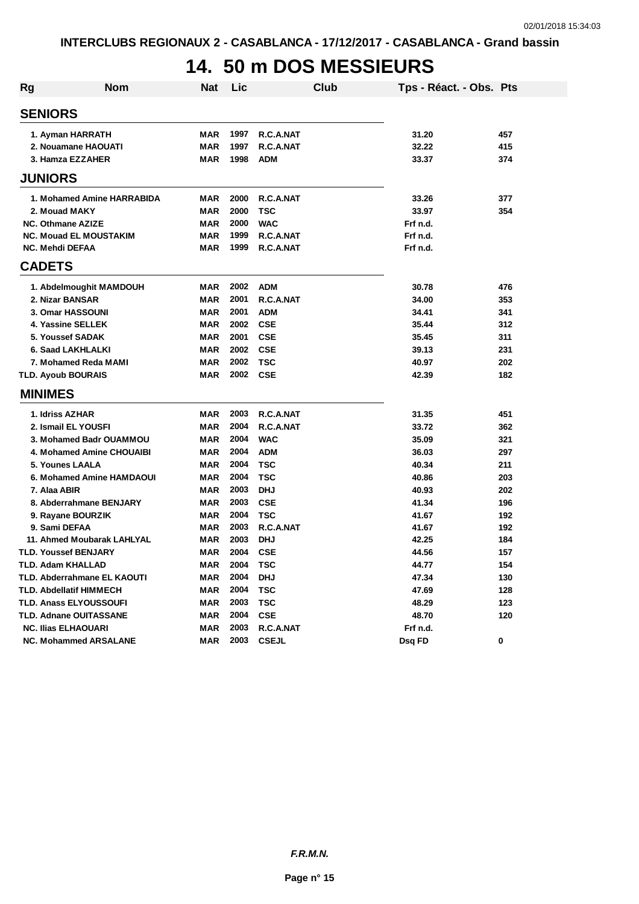# **14. 50 m DOS MESSIEURS**

| <b>Rg</b>              | <b>Nom</b>                     | <b>Nat</b>               | Lic          |                        | Club | Tps - Réact. - Obs. Pts |     |
|------------------------|--------------------------------|--------------------------|--------------|------------------------|------|-------------------------|-----|
| <b>SENIORS</b>         |                                |                          |              |                        |      |                         |     |
|                        | 1. Ayman HARRATH               | MAR                      | 1997         | R.C.A.NAT              |      | 31.20                   | 457 |
|                        | 2. Nouamane HAOUATI            | <b>MAR</b>               | 1997         | R.C.A.NAT              |      | 32.22                   | 415 |
|                        | 3. Hamza EZZAHER               | <b>MAR</b>               | 1998         | <b>ADM</b>             |      | 33.37                   | 374 |
| <b>JUNIORS</b>         |                                |                          |              |                        |      |                         |     |
|                        |                                |                          |              |                        |      |                         |     |
|                        | 1. Mohamed Amine HARRABIDA     | <b>MAR</b>               | 2000         | R.C.A.NAT              |      | 33.26                   | 377 |
|                        | 2. Mouad MAKY                  | <b>MAR</b>               | 2000         | <b>TSC</b>             |      | 33.97                   | 354 |
|                        | <b>NC. Othmane AZIZE</b>       | <b>MAR</b>               | 2000         | <b>WAC</b>             |      | Frf n.d.                |     |
| <b>NC. Mehdi DEFAA</b> | <b>NC. Mouad EL MOUSTAKIM</b>  | <b>MAR</b><br><b>MAR</b> | 1999<br>1999 | R.C.A.NAT<br>R.C.A.NAT |      | Frf n.d.<br>Frf n.d.    |     |
|                        |                                |                          |              |                        |      |                         |     |
| <b>CADETS</b>          |                                |                          |              |                        |      |                         |     |
|                        | 1. Abdelmoughit MAMDOUH        | MAR                      | 2002         | <b>ADM</b>             |      | 30.78                   | 476 |
|                        | 2. Nizar BANSAR                | <b>MAR</b>               | 2001         | R.C.A.NAT              |      | 34.00                   | 353 |
|                        | 3. Omar HASSOUNI               | <b>MAR</b>               | 2001         | <b>ADM</b>             |      | 34.41                   | 341 |
|                        | 4. Yassine SELLEK              | <b>MAR</b>               | 2002         | <b>CSE</b>             |      | 35.44                   | 312 |
|                        | 5. Youssef SADAK               | MAR                      | 2001         | <b>CSE</b>             |      | 35.45                   | 311 |
|                        | 6. Saad LAKHLALKI              | <b>MAR</b>               | 2002         | <b>CSE</b>             |      | 39.13                   | 231 |
|                        | 7. Mohamed Reda MAMI           | <b>MAR</b>               | 2002         | <b>TSC</b>             |      | 40.97                   | 202 |
|                        | <b>TLD. Ayoub BOURAIS</b>      | <b>MAR</b>               | 2002         | <b>CSE</b>             |      | 42.39                   | 182 |
| <b>MINIMES</b>         |                                |                          |              |                        |      |                         |     |
|                        | 1. Idriss AZHAR                | MAR                      | 2003         | R.C.A.NAT              |      | 31.35                   | 451 |
|                        | 2. Ismail EL YOUSFI            | <b>MAR</b>               | 2004         | R.C.A.NAT              |      | 33.72                   | 362 |
|                        | 3. Mohamed Badr OUAMMOU        | <b>MAR</b>               | 2004         | <b>WAC</b>             |      | 35.09                   | 321 |
|                        | 4. Mohamed Amine CHOUAIBI      | <b>MAR</b>               | 2004         | <b>ADM</b>             |      | 36.03                   | 297 |
|                        | 5. Younes LAALA                | <b>MAR</b>               | 2004         | <b>TSC</b>             |      | 40.34                   | 211 |
|                        | 6. Mohamed Amine HAMDAOUI      | MAR                      | 2004         | <b>TSC</b>             |      | 40.86                   | 203 |
| 7. Alaa ABIR           |                                | <b>MAR</b>               | 2003         | <b>DHJ</b>             |      | 40.93                   | 202 |
|                        | 8. Abderrahmane BENJARY        | <b>MAR</b>               | 2003         | <b>CSE</b>             |      | 41.34                   | 196 |
|                        | 9. Rayane BOURZIK              | <b>MAR</b>               | 2004         | <b>TSC</b>             |      | 41.67                   | 192 |
|                        | 9. Sami DEFAA                  | <b>MAR</b>               | 2003         | R.C.A.NAT              |      | 41.67                   | 192 |
|                        | 11. Ahmed Moubarak LAHLYAL     | MAR                      | 2003         | <b>DHJ</b>             |      | 42.25                   | 184 |
|                        | <b>TLD. Youssef BENJARY</b>    | <b>MAR</b>               | 2004         | <b>CSE</b>             |      | 44.56                   | 157 |
|                        | <b>TLD. Adam KHALLAD</b>       | <b>MAR</b>               | 2004         | <b>TSC</b>             |      | 44.77                   | 154 |
|                        | TLD. Abderrahmane EL KAOUTI    | MAR                      | 2004         | <b>DHJ</b>             |      | 47.34                   | 130 |
|                        | <b>TLD. Abdellatif HIMMECH</b> | <b>MAR</b>               | 2004         | <b>TSC</b>             |      | 47.69                   | 128 |
|                        | <b>TLD. Anass ELYOUSSOUFI</b>  | MAR                      | 2003         | <b>TSC</b>             |      | 48.29                   | 123 |
|                        | TLD. Adnane OUITASSANE         | MAR                      | 2004         | <b>CSE</b>             |      | 48.70                   | 120 |
|                        | <b>NC. Ilias ELHAOUARI</b>     | <b>MAR</b>               | 2003         | R.C.A.NAT              |      | Frf n.d.                |     |
|                        | <b>NC. Mohammed ARSALANE</b>   | <b>MAR</b>               | 2003         | <b>CSEJL</b>           |      | Dsq FD                  | 0   |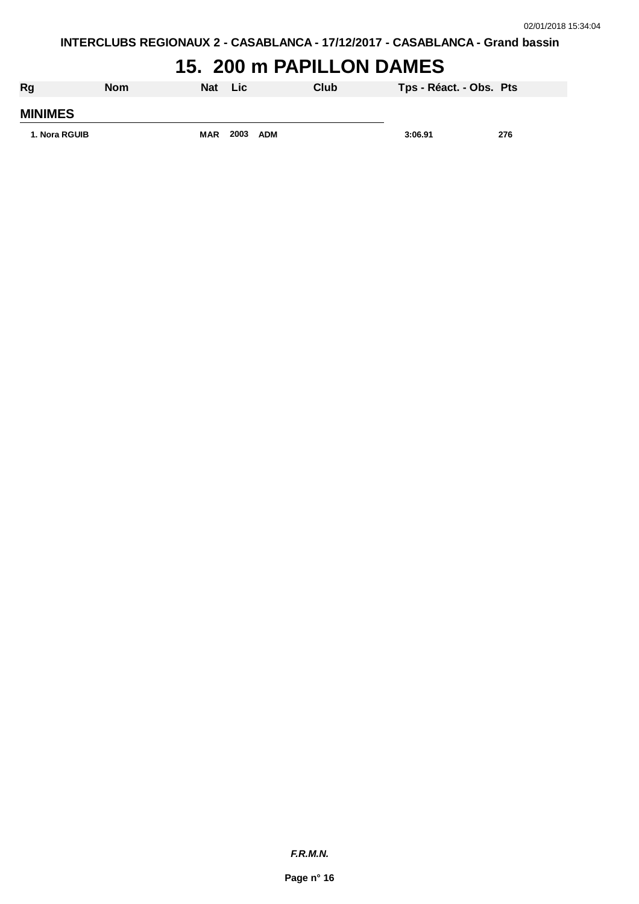### **15. 200 m PAPILLON DAMES**

| Rg             | <b>Nom</b> | Nat        | Lic  |            | Club | Tps - Réact. - Obs. Pts |     |
|----------------|------------|------------|------|------------|------|-------------------------|-----|
| <b>MINIMES</b> |            |            |      |            |      |                         |     |
| 1. Nora RGUIB  |            | <b>MAR</b> | 2003 | <b>ADM</b> |      | 3:06.91                 | 276 |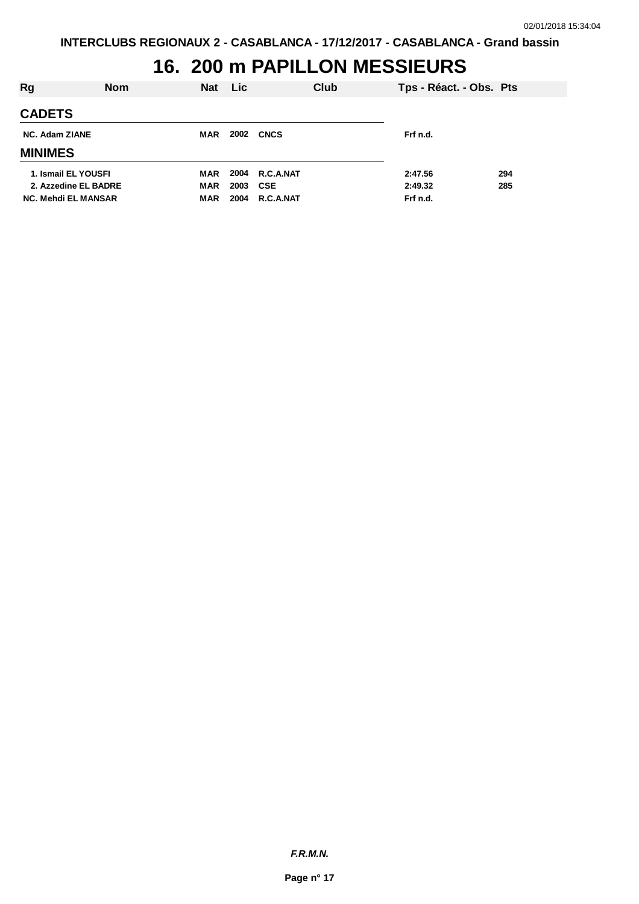# **16. 200 m PAPILLON MESSIEURS**

| Rg                         | <b>Nom</b> | Nat Lic    |      |                | Club | Tps - Réact. - Obs. Pts |     |
|----------------------------|------------|------------|------|----------------|------|-------------------------|-----|
| <b>CADETS</b>              |            |            |      |                |      |                         |     |
| <b>NC. Adam ZIANE</b>      |            | <b>MAR</b> | 2002 | <b>CNCS</b>    |      | Frf n.d.                |     |
| <b>MINIMES</b>             |            |            |      |                |      |                         |     |
| 1. Ismail EL YOUSFI        |            | <b>MAR</b> |      | 2004 R.C.A.NAT |      | 2:47.56                 | 294 |
| 2. Azzedine EL BADRE       |            | <b>MAR</b> | 2003 | CSE            |      | 2:49.32                 | 285 |
| <b>NC. Mehdi EL MANSAR</b> |            | MAR        | 2004 | R.C.A.NAT      |      | Frf n.d.                |     |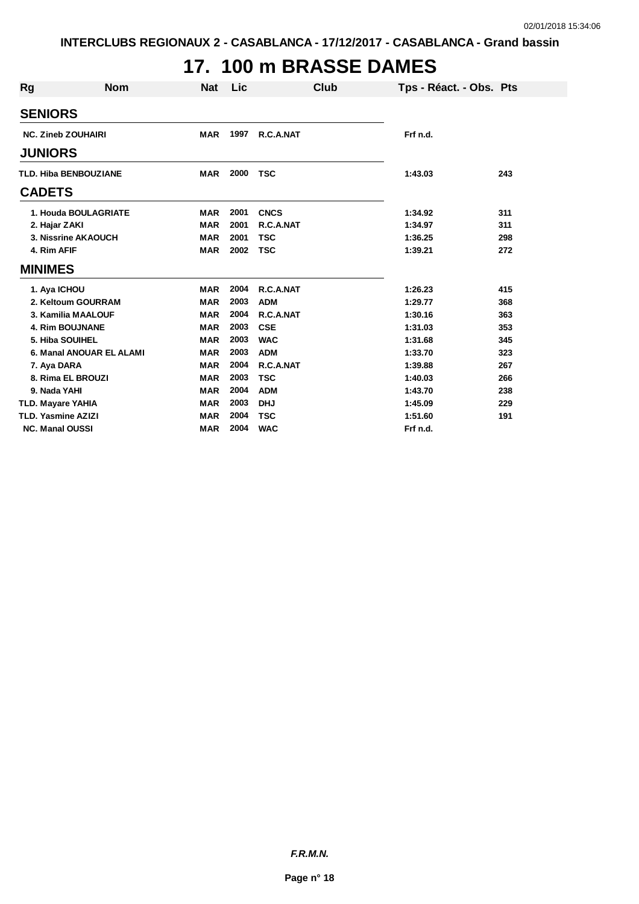# **17. 100 m BRASSE DAMES**

|                              | <b>Nom</b> | <b>Nat</b> | <b>Lic</b> |             | Club |                         |     |
|------------------------------|------------|------------|------------|-------------|------|-------------------------|-----|
| <b>Rg</b>                    |            |            |            |             |      | Tps - Réact. - Obs. Pts |     |
| <b>SENIORS</b>               |            |            |            |             |      |                         |     |
| <b>NC. Zineb ZOUHAIRI</b>    |            | <b>MAR</b> | 1997       | R.C.A.NAT   |      | Frf n.d.                |     |
| <b>JUNIORS</b>               |            |            |            |             |      |                         |     |
| <b>TLD. Hiba BENBOUZIANE</b> |            | <b>MAR</b> | 2000       | <b>TSC</b>  |      | 1:43.03                 | 243 |
| <b>CADETS</b>                |            |            |            |             |      |                         |     |
| 1. Houda BOULAGRIATE         |            | <b>MAR</b> | 2001       | <b>CNCS</b> |      | 1:34.92                 | 311 |
| 2. Hajar ZAKI                |            | <b>MAR</b> | 2001       | R.C.A.NAT   |      | 1:34.97                 | 311 |
| 3. Nissrine AKAOUCH          |            | <b>MAR</b> | 2001       | <b>TSC</b>  |      | 1:36.25                 | 298 |
| 4. Rim AFIF                  |            | <b>MAR</b> | 2002       | <b>TSC</b>  |      | 1:39.21                 | 272 |
| <b>MINIMES</b>               |            |            |            |             |      |                         |     |
| 1. Aya ICHOU                 |            | <b>MAR</b> | 2004       | R.C.A.NAT   |      | 1:26.23                 | 415 |
| 2. Keltoum GOURRAM           |            | <b>MAR</b> | 2003       | <b>ADM</b>  |      | 1:29.77                 | 368 |
| 3. Kamilia MAALOUF           |            | <b>MAR</b> | 2004       | R.C.A.NAT   |      | 1:30.16                 | 363 |
| <b>4. Rim BOUJNANE</b>       |            | <b>MAR</b> | 2003       | <b>CSE</b>  |      | 1:31.03                 | 353 |
| 5. Hiba SOUIHEL              |            | <b>MAR</b> | 2003       | <b>WAC</b>  |      | 1:31.68                 | 345 |
| 6. Manal ANOUAR EL ALAMI     |            | <b>MAR</b> | 2003       | <b>ADM</b>  |      | 1:33.70                 | 323 |
| 7. Aya DARA                  |            | <b>MAR</b> | 2004       | R.C.A.NAT   |      | 1:39.88                 | 267 |
| 8. Rima EL BROUZI            |            | <b>MAR</b> | 2003       | <b>TSC</b>  |      | 1:40.03                 | 266 |
| 9. Nada YAHI                 |            | <b>MAR</b> | 2004       | <b>ADM</b>  |      | 1:43.70                 | 238 |
| <b>TLD. Mayare YAHIA</b>     |            | <b>MAR</b> | 2003       | <b>DHJ</b>  |      | 1:45.09                 | 229 |
| TLD. Yasmine AZIZI           |            | <b>MAR</b> | 2004       | <b>TSC</b>  |      | 1:51.60                 | 191 |
| <b>NC. Manal OUSSI</b>       |            | <b>MAR</b> | 2004       | <b>WAC</b>  |      | Frf n.d.                |     |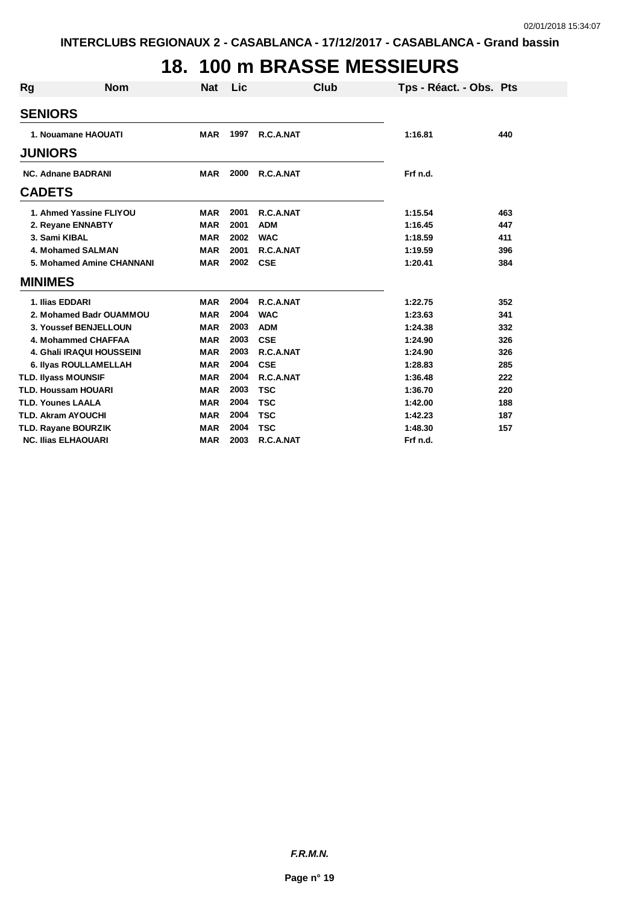# **18. 100 m BRASSE MESSIEURS**

| <b>Rg</b>                 | <b>Nom</b>                 | <b>Nat</b> | Lic  | <b>Club</b> | Tps - Réact. - Obs. Pts |     |
|---------------------------|----------------------------|------------|------|-------------|-------------------------|-----|
|                           | <b>SENIORS</b>             |            |      |             |                         |     |
|                           | 1. Nouamane HAOUATI        | <b>MAR</b> | 1997 | R.C.A.NAT   | 1:16.81                 | 440 |
|                           |                            |            |      |             |                         |     |
|                           | <b>JUNIORS</b>             |            |      |             |                         |     |
| <b>NC. Adnane BADRANI</b> |                            | <b>MAR</b> | 2000 | R.C.A.NAT   | Frf n.d.                |     |
|                           | <b>CADETS</b>              |            |      |             |                         |     |
|                           | 1. Ahmed Yassine FLIYOU    | <b>MAR</b> | 2001 | R.C.A.NAT   | 1:15.54                 | 463 |
|                           | 2. Reyane ENNABTY          | <b>MAR</b> | 2001 | <b>ADM</b>  | 1:16.45                 | 447 |
|                           | 3. Sami KIBAL              | <b>MAR</b> | 2002 | <b>WAC</b>  | 1:18.59                 | 411 |
|                           | 4. Mohamed SALMAN          | <b>MAR</b> | 2001 | R.C.A.NAT   | 1:19.59                 | 396 |
|                           | 5. Mohamed Amine CHANNANI  | <b>MAR</b> | 2002 | <b>CSE</b>  | 1:20.41                 | 384 |
|                           | <b>MINIMES</b>             |            |      |             |                         |     |
|                           | 1. Ilias EDDARI            | <b>MAR</b> | 2004 | R.C.A.NAT   | 1:22.75                 | 352 |
|                           | 2. Mohamed Badr OUAMMOU    | <b>MAR</b> | 2004 | <b>WAC</b>  | 1:23.63                 | 341 |
|                           | 3. Youssef BENJELLOUN      | <b>MAR</b> | 2003 | <b>ADM</b>  | 1:24.38                 | 332 |
|                           | 4. Mohammed CHAFFAA        | <b>MAR</b> | 2003 | <b>CSE</b>  | 1:24.90                 | 326 |
|                           | 4. Ghali IRAQUI HOUSSEINI  | <b>MAR</b> | 2003 | R.C.A.NAT   | 1:24.90                 | 326 |
|                           | 6. Ilyas ROULLAMELLAH      | <b>MAR</b> | 2004 | <b>CSE</b>  | 1:28.83                 | 285 |
|                           | <b>TLD. Ilyass MOUNSIF</b> | <b>MAR</b> | 2004 | R.C.A.NAT   | 1:36.48                 | 222 |
|                           | <b>TLD. Houssam HOUARI</b> | <b>MAR</b> | 2003 | <b>TSC</b>  | 1:36.70                 | 220 |
|                           | <b>TLD. Younes LAALA</b>   | <b>MAR</b> | 2004 | <b>TSC</b>  | 1:42.00                 | 188 |
|                           | <b>TLD. Akram AYOUCHI</b>  | <b>MAR</b> | 2004 | <b>TSC</b>  | 1:42.23                 | 187 |
|                           | <b>TLD. Rayane BOURZIK</b> | <b>MAR</b> | 2004 | <b>TSC</b>  | 1:48.30                 | 157 |
|                           | <b>NC. Ilias ELHAOUARI</b> | <b>MAR</b> | 2003 | R.C.A.NAT   | Frf n.d.                |     |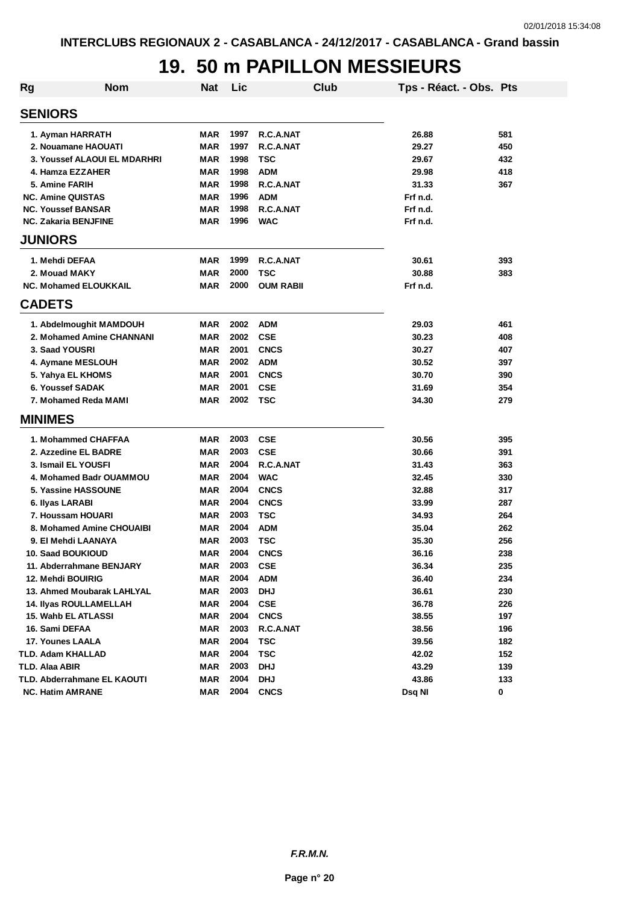#### **19. 50 m PAPILLON MESSIEURS**

| <b>Rg</b> | <b>Nom</b>                         | <b>Nat</b> | Lic  |                  | <b>Club</b> | Tps - Réact. - Obs. Pts |     |
|-----------|------------------------------------|------------|------|------------------|-------------|-------------------------|-----|
|           | <b>SENIORS</b>                     |            |      |                  |             |                         |     |
|           | 1. Ayman HARRATH                   | <b>MAR</b> | 1997 | R.C.A.NAT        |             | 26.88                   | 581 |
|           | 2. Nouamane HAOUATI                | <b>MAR</b> | 1997 | R.C.A.NAT        |             | 29.27                   | 450 |
|           | 3. Youssef ALAOUI EL MDARHRI       | <b>MAR</b> | 1998 | <b>TSC</b>       |             | 29.67                   | 432 |
|           | 4. Hamza EZZAHER                   | <b>MAR</b> | 1998 | <b>ADM</b>       |             | 29.98                   | 418 |
|           | 5. Amine FARIH                     | <b>MAR</b> | 1998 | R.C.A.NAT        |             | 31.33                   | 367 |
|           | <b>NC. Amine QUISTAS</b>           | <b>MAR</b> | 1996 | <b>ADM</b>       |             | Frf n.d.                |     |
|           | <b>NC. Youssef BANSAR</b>          | <b>MAR</b> | 1998 | R.C.A.NAT        |             | Frf n.d.                |     |
|           | <b>NC. Zakaria BENJFINE</b>        | <b>MAR</b> | 1996 | <b>WAC</b>       |             | Frf n.d.                |     |
|           | <b>JUNIORS</b>                     |            |      |                  |             |                         |     |
|           | 1. Mehdi DEFAA                     | <b>MAR</b> | 1999 | R.C.A.NAT        |             | 30.61                   | 393 |
|           | 2. Mouad MAKY                      | <b>MAR</b> | 2000 | <b>TSC</b>       |             | 30.88                   | 383 |
|           | <b>NC. Mohamed ELOUKKAIL</b>       | <b>MAR</b> | 2000 | <b>OUM RABII</b> |             | Frf n.d.                |     |
|           | <b>CADETS</b>                      |            |      |                  |             |                         |     |
|           | 1. Abdelmoughit MAMDOUH            | <b>MAR</b> | 2002 | <b>ADM</b>       |             | 29.03                   | 461 |
|           | 2. Mohamed Amine CHANNANI          | MAR        | 2002 | <b>CSE</b>       |             | 30.23                   | 408 |
|           | 3. Saad YOUSRI                     | <b>MAR</b> | 2001 | <b>CNCS</b>      |             | 30.27                   | 407 |
|           | 4. Aymane MESLOUH                  | <b>MAR</b> | 2002 | <b>ADM</b>       |             | 30.52                   | 397 |
|           | 5. Yahya EL KHOMS                  | <b>MAR</b> | 2001 | <b>CNCS</b>      |             | 30.70                   | 390 |
|           | 6. Youssef SADAK                   | <b>MAR</b> | 2001 | <b>CSE</b>       |             | 31.69                   | 354 |
|           | 7. Mohamed Reda MAMI               | <b>MAR</b> | 2002 | <b>TSC</b>       |             | 34.30                   | 279 |
|           | <b>MINIMES</b>                     |            |      |                  |             |                         |     |
|           | 1. Mohammed CHAFFAA                | <b>MAR</b> | 2003 | <b>CSE</b>       |             | 30.56                   | 395 |
|           | 2. Azzedine EL BADRE               | <b>MAR</b> | 2003 | <b>CSE</b>       |             | 30.66                   | 391 |
|           | 3. Ismail EL YOUSFI                | <b>MAR</b> | 2004 | R.C.A.NAT        |             | 31.43                   | 363 |
|           | 4. Mohamed Badr OUAMMOU            | <b>MAR</b> | 2004 | <b>WAC</b>       |             | 32.45                   | 330 |
|           | 5. Yassine HASSOUNE                | <b>MAR</b> | 2004 | <b>CNCS</b>      |             | 32.88                   | 317 |
|           | 6. Ilyas LARABI                    | <b>MAR</b> | 2004 | <b>CNCS</b>      |             | 33.99                   | 287 |
|           | 7. Houssam HOUARI                  | <b>MAR</b> | 2003 | <b>TSC</b>       |             | 34.93                   | 264 |
|           | 8. Mohamed Amine CHOUAIBI          | <b>MAR</b> | 2004 | <b>ADM</b>       |             | 35.04                   | 262 |
|           | 9. El Mehdi LAANAYA                | <b>MAR</b> | 2003 | <b>TSC</b>       |             | 35.30                   | 256 |
|           | 10. Saad BOUKIOUD                  | <b>MAR</b> | 2004 | <b>CNCS</b>      |             | 36.16                   | 238 |
|           | 11. Abderrahmane BENJARY           | <b>MAR</b> | 2003 | <b>CSE</b>       |             | 36.34                   | 235 |
|           | 12. Mehdi BOUIRIG                  | <b>MAR</b> | 2004 | <b>ADM</b>       |             | 36.40                   | 234 |
|           | 13. Ahmed Moubarak LAHLYAL         | <b>MAR</b> | 2003 | <b>DHJ</b>       |             | 36.61                   | 230 |
|           | <b>14. Ilyas ROULLAMELLAH</b>      | <b>MAR</b> | 2004 | <b>CSE</b>       |             | 36.78                   | 226 |
|           | 15. Wahb EL ATLASSI                | <b>MAR</b> | 2004 | <b>CNCS</b>      |             | 38.55                   | 197 |
|           | 16. Sami DEFAA                     | <b>MAR</b> | 2003 | R.C.A.NAT        |             | 38.56                   | 196 |
|           | 17. Younes LAALA                   | <b>MAR</b> | 2004 | <b>TSC</b>       |             | 39.56                   | 182 |
|           | TLD. Adam KHALLAD                  | <b>MAR</b> | 2004 | <b>TSC</b>       |             | 42.02                   | 152 |
|           | TLD. Alaa ABIR                     | <b>MAR</b> | 2003 | <b>DHJ</b>       |             | 43.29                   | 139 |
|           | <b>TLD. Abderrahmane EL KAOUTI</b> | <b>MAR</b> | 2004 | <b>DHJ</b>       |             | 43.86                   | 133 |
|           | <b>NC. Hatim AMRANE</b>            | <b>MAR</b> | 2004 | <b>CNCS</b>      |             | Dsq NI                  | 0   |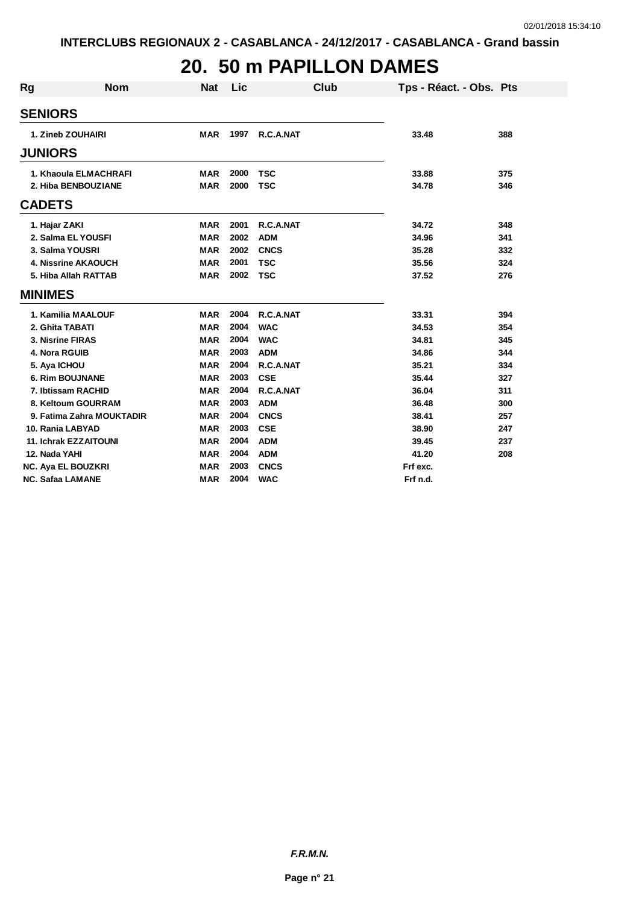#### **20. 50 m PAPILLON DAMES**

| <b>Rg</b> | <b>Nom</b>                   | <b>Nat</b> | Lic  | Club        | Tps - Réact. - Obs. Pts |     |
|-----------|------------------------------|------------|------|-------------|-------------------------|-----|
|           | <b>SENIORS</b>               |            |      |             |                         |     |
|           | 1. Zineb ZOUHAIRI            | <b>MAR</b> | 1997 | R.C.A.NAT   | 33.48                   | 388 |
|           |                              |            |      |             |                         |     |
|           | <b>JUNIORS</b>               |            |      |             |                         |     |
|           | 1. Khaoula ELMACHRAFI        | <b>MAR</b> | 2000 | <b>TSC</b>  | 33.88                   | 375 |
|           | 2. Hiba BENBOUZIANE          | <b>MAR</b> | 2000 | <b>TSC</b>  | 34.78                   | 346 |
|           | <b>CADETS</b>                |            |      |             |                         |     |
|           | 1. Hajar ZAKI                | <b>MAR</b> | 2001 | R.C.A.NAT   | 34.72                   | 348 |
|           | 2. Salma EL YOUSFI           | <b>MAR</b> | 2002 | <b>ADM</b>  | 34.96                   | 341 |
|           | 3. Salma YOUSRI              | <b>MAR</b> | 2002 | <b>CNCS</b> | 35.28                   | 332 |
|           | <b>4. Nissrine AKAOUCH</b>   | <b>MAR</b> | 2001 | <b>TSC</b>  | 35.56                   | 324 |
|           | 5. Hiba Allah RATTAB         | <b>MAR</b> | 2002 | <b>TSC</b>  | 37.52                   | 276 |
|           | <b>MINIMES</b>               |            |      |             |                         |     |
|           | 1. Kamilia MAALOUF           | <b>MAR</b> | 2004 | R.C.A.NAT   | 33.31                   | 394 |
|           | 2. Ghita TABATI              | <b>MAR</b> | 2004 | <b>WAC</b>  | 34.53                   | 354 |
|           | 3. Nisrine FIRAS             | <b>MAR</b> | 2004 | <b>WAC</b>  | 34.81                   | 345 |
|           | 4. Nora RGUIB                | <b>MAR</b> | 2003 | <b>ADM</b>  | 34.86                   | 344 |
|           | 5. Aya ICHOU                 | <b>MAR</b> | 2004 | R.C.A.NAT   | 35.21                   | 334 |
|           | <b>6. Rim BOUJNANE</b>       | <b>MAR</b> | 2003 | <b>CSE</b>  | 35.44                   | 327 |
|           | 7. Ibtissam RACHID           | <b>MAR</b> | 2004 | R.C.A.NAT   | 36.04                   | 311 |
|           | 8. Keltoum GOURRAM           | <b>MAR</b> | 2003 | <b>ADM</b>  | 36.48                   | 300 |
|           | 9. Fatima Zahra MOUKTADIR    | <b>MAR</b> | 2004 | <b>CNCS</b> | 38.41                   | 257 |
|           | 10. Rania LABYAD             | <b>MAR</b> | 2003 | <b>CSE</b>  | 38.90                   | 247 |
|           | <b>11. Ichrak EZZAITOUNI</b> | <b>MAR</b> | 2004 | <b>ADM</b>  | 39.45                   | 237 |
|           | 12. Nada YAHI                | <b>MAR</b> | 2004 | <b>ADM</b>  | 41.20                   | 208 |
|           | NC. Aya EL BOUZKRI           | <b>MAR</b> | 2003 | <b>CNCS</b> | Frf exc.                |     |
|           | <b>NC. Safaa LAMANE</b>      | <b>MAR</b> | 2004 | <b>WAC</b>  | Frf n.d.                |     |

*F.R.M.N.*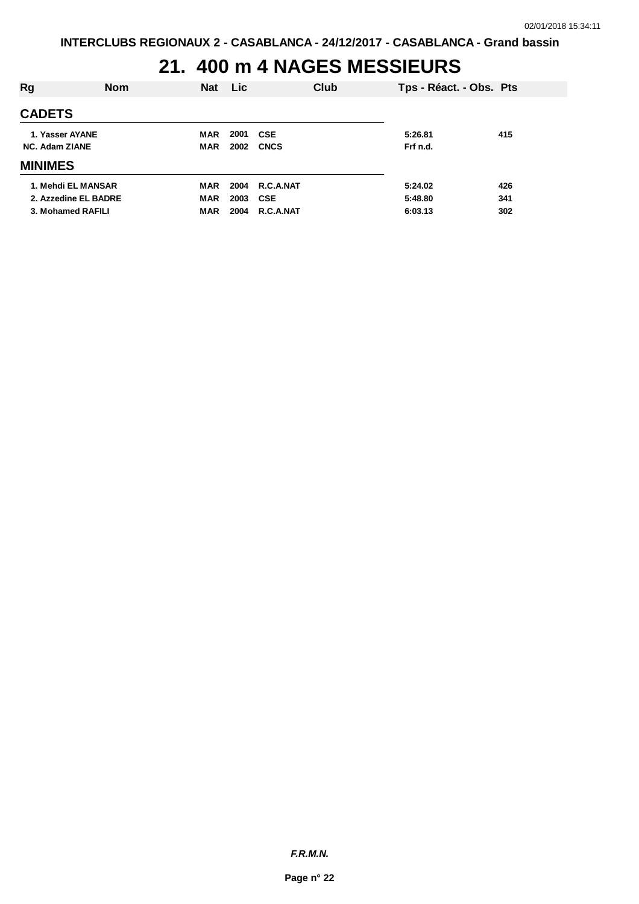# **21. 400 m 4 NAGES MESSIEURS**

| <b>CADETS</b><br>2001<br>415<br>1. Yasser AYANE<br><b>CSE</b><br><b>MAR</b><br>5:26.81<br>2002<br><b>CNCS</b><br><b>NC. Adam ZIANE</b><br>Frf n.d.<br>MAR<br><b>MINIMES</b><br>1. Mehdi EL MANSAR<br>2004<br><b>R.C.A.NAT</b><br>426<br>5:24.02<br>MAR |  |
|--------------------------------------------------------------------------------------------------------------------------------------------------------------------------------------------------------------------------------------------------------|--|
|                                                                                                                                                                                                                                                        |  |
|                                                                                                                                                                                                                                                        |  |
|                                                                                                                                                                                                                                                        |  |
|                                                                                                                                                                                                                                                        |  |
|                                                                                                                                                                                                                                                        |  |
| 2003<br>341<br>2. Azzedine EL BADRE<br><b>MAR</b><br><b>CSE</b><br>5:48.80                                                                                                                                                                             |  |
| 3. Mohamed RAFILI<br>2004<br>R.C.A.NAT<br>302<br>6:03.13<br><b>MAR</b>                                                                                                                                                                                 |  |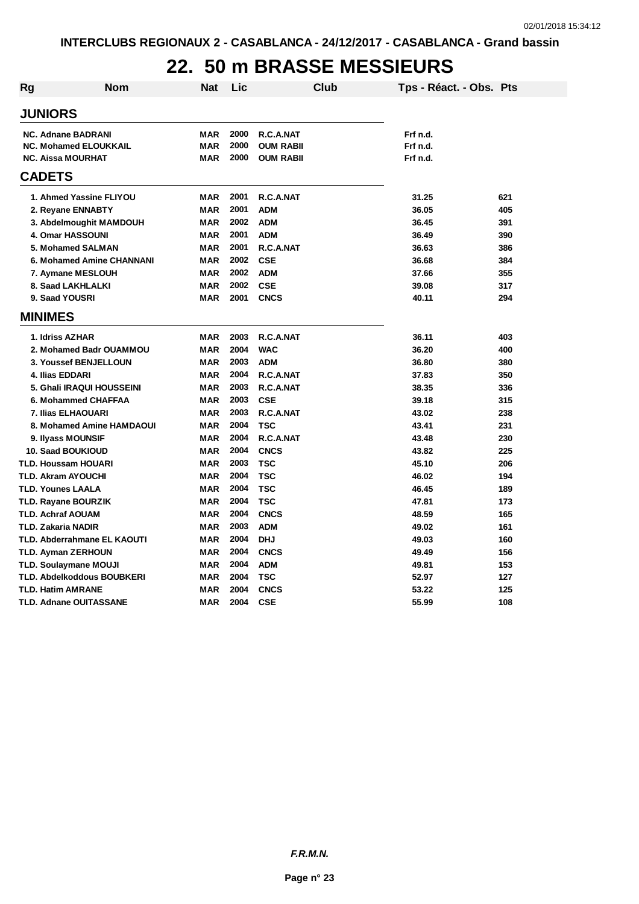### **22. 50 m BRASSE MESSIEURS**

| Rg                           | <b>Nom</b>                  | <b>Nat</b> | Lic  |                  | Club | Tps - Réact. - Obs. Pts |     |
|------------------------------|-----------------------------|------------|------|------------------|------|-------------------------|-----|
| <b>JUNIORS</b>               |                             |            |      |                  |      |                         |     |
| <b>NC. Adnane BADRANI</b>    |                             | MAR        | 2000 | R.C.A.NAT        |      | Frf n.d.                |     |
| <b>NC. Mohamed ELOUKKAIL</b> |                             | <b>MAR</b> | 2000 | <b>OUM RABII</b> |      | Frf n.d.                |     |
| <b>NC. Aissa MOURHAT</b>     |                             | <b>MAR</b> | 2000 | <b>OUM RABII</b> |      | Frf n.d.                |     |
| <b>CADETS</b>                |                             |            |      |                  |      |                         |     |
|                              | 1. Ahmed Yassine FLIYOU     | MAR        | 2001 | R.C.A.NAT        |      | 31.25                   | 621 |
| 2. Reyane ENNABTY            |                             | <b>MAR</b> | 2001 | <b>ADM</b>       |      | 36.05                   | 405 |
|                              | 3. Abdelmoughit MAMDOUH     | <b>MAR</b> | 2002 | <b>ADM</b>       |      | 36.45                   | 391 |
| 4. Omar HASSOUNI             |                             | <b>MAR</b> | 2001 | <b>ADM</b>       |      | 36.49                   | 390 |
| 5. Mohamed SALMAN            |                             | <b>MAR</b> | 2001 | R.C.A.NAT        |      | 36.63                   | 386 |
|                              | 6. Mohamed Amine CHANNANI   | <b>MAR</b> | 2002 | <b>CSE</b>       |      | 36.68                   | 384 |
| 7. Aymane MESLOUH            |                             | <b>MAR</b> | 2002 | <b>ADM</b>       |      | 37.66                   | 355 |
| 8. Saad LAKHLALKI            |                             | <b>MAR</b> | 2002 | <b>CSE</b>       |      | 39.08                   | 317 |
| 9. Saad YOUSRI               |                             | <b>MAR</b> | 2001 | <b>CNCS</b>      |      | 40.11                   | 294 |
| <b>MINIMES</b>               |                             |            |      |                  |      |                         |     |
| 1. Idriss AZHAR              |                             | <b>MAR</b> | 2003 | R.C.A.NAT        |      | 36.11                   | 403 |
|                              | 2. Mohamed Badr OUAMMOU     | <b>MAR</b> | 2004 | <b>WAC</b>       |      | 36.20                   | 400 |
|                              | 3. Youssef BENJELLOUN       | <b>MAR</b> | 2003 | <b>ADM</b>       |      | 36.80                   | 380 |
| 4. Ilias EDDARI              |                             | <b>MAR</b> | 2004 | R.C.A.NAT        |      | 37.83                   | 350 |
|                              | 5. Ghali IRAQUI HOUSSEINI   | <b>MAR</b> | 2003 | R.C.A.NAT        |      | 38.35                   | 336 |
|                              | 6. Mohammed CHAFFAA         | <b>MAR</b> | 2003 | <b>CSE</b>       |      | 39.18                   | 315 |
| <b>7. Ilias ELHAOUARI</b>    |                             | <b>MAR</b> | 2003 | R.C.A.NAT        |      | 43.02                   | 238 |
|                              | 8. Mohamed Amine HAMDAOUI   | <b>MAR</b> | 2004 | <b>TSC</b>       |      | 43.41                   | 231 |
| 9. Ilyass MOUNSIF            |                             | <b>MAR</b> | 2004 | R.C.A.NAT        |      | 43.48                   | 230 |
| <b>10. Saad BOUKIOUD</b>     |                             | <b>MAR</b> | 2004 | <b>CNCS</b>      |      | 43.82                   | 225 |
| TLD. Houssam HOUARI          |                             | <b>MAR</b> | 2003 | <b>TSC</b>       |      | 45.10                   | 206 |
| TLD. Akram AYOUCHI           |                             | <b>MAR</b> | 2004 | <b>TSC</b>       |      | 46.02                   | 194 |
| TLD. Younes LAALA            |                             | <b>MAR</b> | 2004 | <b>TSC</b>       |      | 46.45                   | 189 |
| TLD. Rayane BOURZIK          |                             | <b>MAR</b> | 2004 | <b>TSC</b>       |      | 47.81                   | 173 |
| TLD. Achraf AOUAM            |                             | <b>MAR</b> | 2004 | <b>CNCS</b>      |      | 48.59                   | 165 |
| TLD. Zakaria NADIR           |                             | <b>MAR</b> | 2003 | <b>ADM</b>       |      | 49.02                   | 161 |
|                              | TLD. Abderrahmane EL KAOUTI | <b>MAR</b> | 2004 | <b>DHJ</b>       |      | 49.03                   | 160 |
| TLD. Ayman ZERHOUN           |                             | <b>MAR</b> | 2004 | <b>CNCS</b>      |      | 49.49                   | 156 |
| TLD. Soulaymane MOUJI        |                             | <b>MAR</b> | 2004 | <b>ADM</b>       |      | 49.81                   | 153 |
|                              | TLD. Abdelkoddous BOUBKERI  | <b>MAR</b> | 2004 | <b>TSC</b>       |      | 52.97                   | 127 |
| TLD. Hatim AMRANE            |                             | <b>MAR</b> | 2004 | <b>CNCS</b>      |      | 53.22                   | 125 |
| TLD. Adnane OUITASSANE       |                             | <b>MAR</b> | 2004 | <b>CSE</b>       |      | 55.99                   | 108 |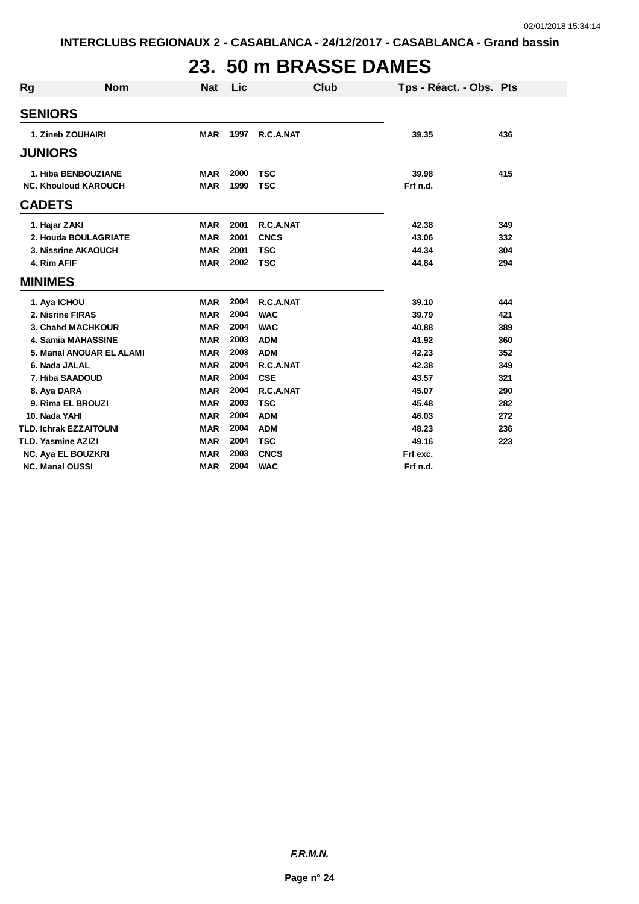# **23. 50 m BRASSE DAMES**

| <b>Rg</b>      | <b>Nom</b>                    | <b>Nat</b> | Lic  | <b>Club</b> |          | Tps - Réact. - Obs. Pts |
|----------------|-------------------------------|------------|------|-------------|----------|-------------------------|
|                | <b>SENIORS</b>                |            |      |             |          |                         |
|                | 1. Zineb ZOUHAIRI             | <b>MAR</b> | 1997 | R.C.A.NAT   | 39.35    | 436                     |
|                | <b>JUNIORS</b>                |            |      |             |          |                         |
|                | 1. Hiba BENBOUZIANE           | <b>MAR</b> | 2000 | <b>TSC</b>  | 39.98    | 415                     |
|                | <b>NC. Khouloud KAROUCH</b>   | <b>MAR</b> | 1999 | <b>TSC</b>  | Frf n.d. |                         |
| <b>CADETS</b>  |                               |            |      |             |          |                         |
|                | 1. Hajar ZAKI                 | <b>MAR</b> | 2001 | R.C.A.NAT   | 42.38    | 349                     |
|                | 2. Houda BOULAGRIATE          | <b>MAR</b> | 2001 | <b>CNCS</b> | 43.06    | 332                     |
|                | 3. Nissrine AKAOUCH           | <b>MAR</b> | 2001 | <b>TSC</b>  | 44.34    | 304                     |
|                | 4. Rim AFIF                   | <b>MAR</b> | 2002 | <b>TSC</b>  | 44.84    | 294                     |
| <b>MINIMES</b> |                               |            |      |             |          |                         |
|                | 1. Aya ICHOU                  | <b>MAR</b> | 2004 | R.C.A.NAT   | 39.10    | 444                     |
|                | 2. Nisrine FIRAS              | <b>MAR</b> | 2004 | <b>WAC</b>  | 39.79    | 421                     |
|                | 3. Chahd MACHKOUR             | <b>MAR</b> | 2004 | <b>WAC</b>  | 40.88    | 389                     |
|                | <b>4. Samia MAHASSINE</b>     | <b>MAR</b> | 2003 | <b>ADM</b>  | 41.92    | 360                     |
|                | 5. Manal ANOUAR EL ALAMI      | <b>MAR</b> | 2003 | <b>ADM</b>  | 42.23    | 352                     |
|                | 6. Nada JALAL                 | <b>MAR</b> | 2004 | R.C.A.NAT   | 42.38    | 349                     |
|                | 7. Hiba SAADOUD               | <b>MAR</b> | 2004 | <b>CSE</b>  | 43.57    | 321                     |
|                | 8. Aya DARA                   | <b>MAR</b> | 2004 | R.C.A.NAT   | 45.07    | 290                     |
|                | 9. Rima EL BROUZI             | <b>MAR</b> | 2003 | <b>TSC</b>  | 45.48    | 282                     |
|                | 10. Nada YAHI                 | <b>MAR</b> | 2004 | <b>ADM</b>  | 46.03    | 272                     |
|                | <b>TLD. Ichrak EZZAITOUNI</b> | <b>MAR</b> | 2004 | <b>ADM</b>  | 48.23    | 236                     |
|                | <b>TLD. Yasmine AZIZI</b>     | <b>MAR</b> | 2004 | <b>TSC</b>  | 49.16    | 223                     |
|                | NC. Aya EL BOUZKRI            | <b>MAR</b> | 2003 | <b>CNCS</b> | Frf exc. |                         |
|                | <b>NC. Manal OUSSI</b>        | <b>MAR</b> | 2004 | <b>WAC</b>  | Frf n.d. |                         |

*F.R.M.N.*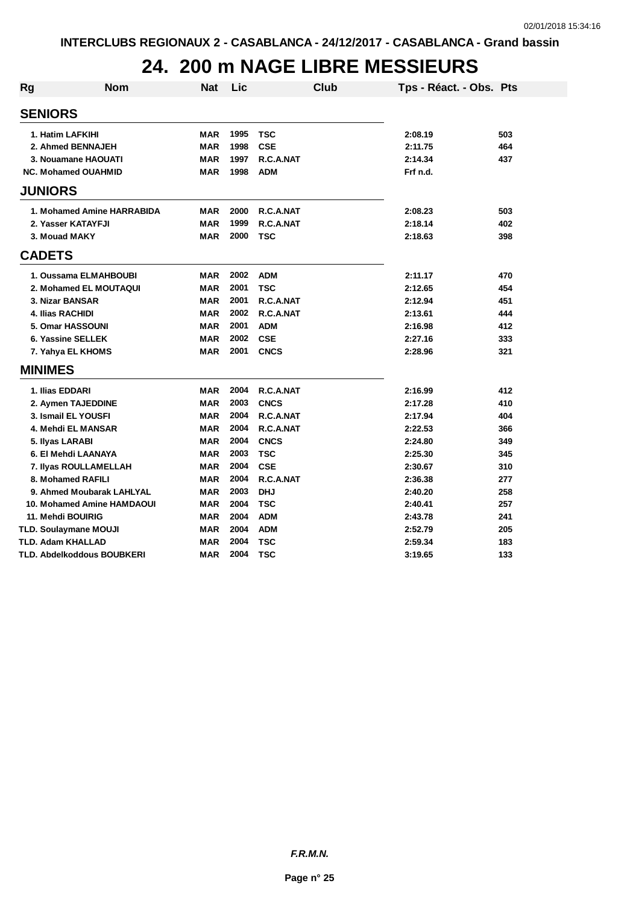#### **24. 200 m NAGE LIBRE MESSIEURS**

| <b>Nom</b><br><b>Rg</b>           | <b>Nat</b> | Lic  |             | <b>Club</b> | Tps - Réact. - Obs. Pts |     |
|-----------------------------------|------------|------|-------------|-------------|-------------------------|-----|
| <b>SENIORS</b>                    |            |      |             |             |                         |     |
| 1. Hatim LAFKIHI                  | <b>MAR</b> | 1995 | <b>TSC</b>  |             | 2:08.19                 | 503 |
| 2. Ahmed BENNAJEH                 | <b>MAR</b> | 1998 | <b>CSE</b>  |             | 2:11.75                 | 464 |
| 3. Nouamane HAOUATI               | <b>MAR</b> | 1997 | R.C.A.NAT   |             | 2:14.34                 | 437 |
| <b>NC. Mohamed OUAHMID</b>        | <b>MAR</b> | 1998 | <b>ADM</b>  |             | Frf n.d.                |     |
| <b>JUNIORS</b>                    |            |      |             |             |                         |     |
| 1. Mohamed Amine HARRABIDA        | <b>MAR</b> | 2000 | R.C.A.NAT   |             | 2:08.23                 | 503 |
| 2. Yasser KATAYFJI                | <b>MAR</b> | 1999 | R.C.A.NAT   |             | 2:18.14                 | 402 |
| 3. Mouad MAKY                     | <b>MAR</b> | 2000 | <b>TSC</b>  |             | 2:18.63                 | 398 |
| <b>CADETS</b>                     |            |      |             |             |                         |     |
| 1. Oussama ELMAHBOUBI             | <b>MAR</b> | 2002 | <b>ADM</b>  |             | 2:11.17                 | 470 |
| 2. Mohamed EL MOUTAQUI            | <b>MAR</b> | 2001 | <b>TSC</b>  |             | 2:12.65                 | 454 |
| 3. Nizar BANSAR                   | <b>MAR</b> | 2001 | R.C.A.NAT   |             | 2:12.94                 | 451 |
| <b>4. Ilias RACHIDI</b>           | <b>MAR</b> | 2002 | R.C.A.NAT   |             | 2:13.61                 | 444 |
| <b>5. Omar HASSOUNI</b>           | <b>MAR</b> | 2001 | <b>ADM</b>  |             | 2:16.98                 | 412 |
| 6. Yassine SELLEK                 | <b>MAR</b> | 2002 | <b>CSE</b>  |             | 2:27.16                 | 333 |
| 7. Yahya EL KHOMS                 | <b>MAR</b> | 2001 | <b>CNCS</b> |             | 2:28.96                 | 321 |
| <b>MINIMES</b>                    |            |      |             |             |                         |     |
| 1. Ilias EDDARI                   | <b>MAR</b> | 2004 | R.C.A.NAT   |             | 2:16.99                 | 412 |
| 2. Aymen TAJEDDINE                | <b>MAR</b> | 2003 | <b>CNCS</b> |             | 2:17.28                 | 410 |
| 3. Ismail EL YOUSFI               | <b>MAR</b> | 2004 | R.C.A.NAT   |             | 2:17.94                 | 404 |
| 4. Mehdi EL MANSAR                | <b>MAR</b> | 2004 | R.C.A.NAT   |             | 2:22.53                 | 366 |
| 5. Ilyas LARABI                   | <b>MAR</b> | 2004 | <b>CNCS</b> |             | 2:24.80                 | 349 |
| 6. El Mehdi LAANAYA               | <b>MAR</b> | 2003 | <b>TSC</b>  |             | 2:25.30                 | 345 |
| 7. Ilyas ROULLAMELLAH             | <b>MAR</b> | 2004 | <b>CSE</b>  |             | 2:30.67                 | 310 |
| 8. Mohamed RAFILI                 | <b>MAR</b> | 2004 | R.C.A.NAT   |             | 2:36.38                 | 277 |
| 9. Ahmed Moubarak LAHLYAL         | <b>MAR</b> | 2003 | <b>DHJ</b>  |             | 2:40.20                 | 258 |
| <b>10. Mohamed Amine HAMDAOUI</b> | <b>MAR</b> | 2004 | <b>TSC</b>  |             | 2:40.41                 | 257 |
| 11. Mehdi BOUIRIG                 | <b>MAR</b> | 2004 | <b>ADM</b>  |             | 2:43.78                 | 241 |
| TLD. Soulaymane MOUJI             | <b>MAR</b> | 2004 | <b>ADM</b>  |             | 2:52.79                 | 205 |
| TLD. Adam KHALLAD                 | <b>MAR</b> | 2004 | <b>TSC</b>  |             | 2:59.34                 | 183 |
| TLD. Abdelkoddous BOUBKERI        | MAR        | 2004 | <b>TSC</b>  |             | 3:19.65                 | 133 |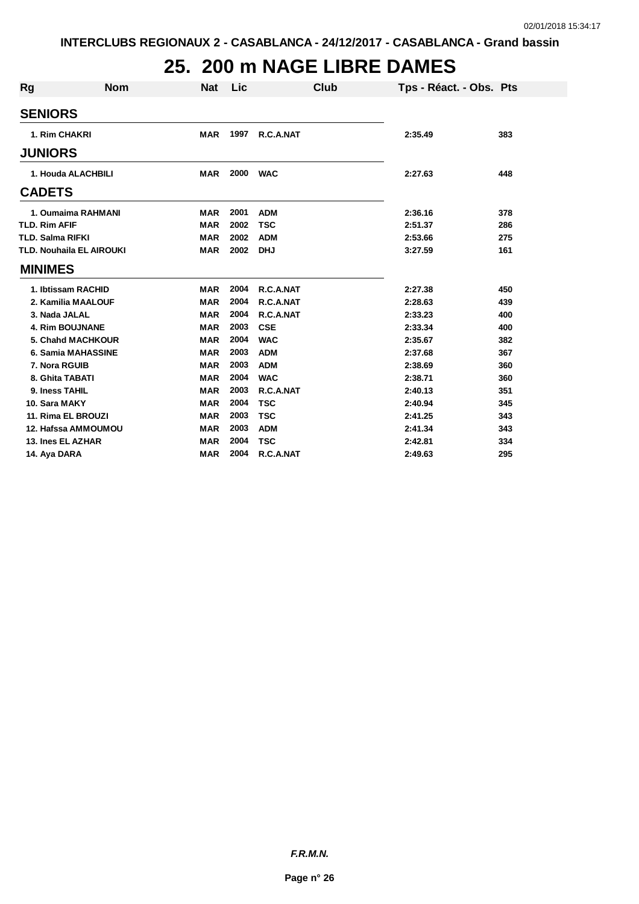# **25. 200 m NAGE LIBRE DAMES**

| <b>Rg</b>               | <b>Nom</b>               | <b>Nat</b> | Lic  | Club       | Tps - Réact. - Obs. Pts |     |
|-------------------------|--------------------------|------------|------|------------|-------------------------|-----|
|                         |                          |            |      |            |                         |     |
| <b>SENIORS</b>          |                          |            |      |            |                         |     |
| 1. Rim CHAKRI           |                          | <b>MAR</b> | 1997 | R.C.A.NAT  | 2:35.49                 | 383 |
| <b>JUNIORS</b>          |                          |            |      |            |                         |     |
|                         | 1. Houda ALACHBILI       | <b>MAR</b> | 2000 | <b>WAC</b> | 2:27.63                 | 448 |
| <b>CADETS</b>           |                          |            |      |            |                         |     |
|                         | 1. Oumaima RAHMANI       | <b>MAR</b> | 2001 | <b>ADM</b> | 2:36.16                 | 378 |
| <b>TLD. Rim AFIF</b>    |                          | <b>MAR</b> | 2002 | <b>TSC</b> | 2:51.37                 | 286 |
| <b>TLD. Salma RIFKI</b> |                          | <b>MAR</b> | 2002 | <b>ADM</b> | 2:53.66                 | 275 |
|                         | TLD. Nouhaila EL AIROUKI | <b>MAR</b> | 2002 | <b>DHJ</b> | 3:27.59                 | 161 |
| <b>MINIMES</b>          |                          |            |      |            |                         |     |
|                         | 1. Ibtissam RACHID       | <b>MAR</b> | 2004 | R.C.A.NAT  | 2:27.38                 | 450 |
|                         | 2. Kamilia MAALOUF       | <b>MAR</b> | 2004 | R.C.A.NAT  | 2:28.63                 | 439 |
| 3. Nada JALAL           |                          | <b>MAR</b> | 2004 | R.C.A.NAT  | 2:33.23                 | 400 |
|                         | <b>4. Rim BOUJNANE</b>   | <b>MAR</b> | 2003 | <b>CSE</b> | 2:33.34                 | 400 |
|                         | <b>5. Chand MACHKOUR</b> | <b>MAR</b> | 2004 | <b>WAC</b> | 2:35.67                 | 382 |
|                         | 6. Samia MAHASSINE       | <b>MAR</b> | 2003 | <b>ADM</b> | 2:37.68                 | 367 |
| 7. Nora RGUIB           |                          | <b>MAR</b> | 2003 | <b>ADM</b> | 2:38.69                 | 360 |
| 8. Ghita TABATI         |                          | MAR        | 2004 | <b>WAC</b> | 2:38.71                 | 360 |
| 9. Iness TAHIL          |                          | <b>MAR</b> | 2003 | R.C.A.NAT  | 2:40.13                 | 351 |
| 10. Sara MAKY           |                          | <b>MAR</b> | 2004 | <b>TSC</b> | 2:40.94                 | 345 |
|                         | 11. Rima EL BROUZI       | <b>MAR</b> | 2003 | <b>TSC</b> | 2:41.25                 | 343 |
|                         | 12. Hafssa AMMOUMOU      | <b>MAR</b> | 2003 | <b>ADM</b> | 2:41.34                 | 343 |
| 13. Ines EL AZHAR       |                          | <b>MAR</b> | 2004 | <b>TSC</b> | 2:42.81                 | 334 |
| 14. Aya DARA            |                          | <b>MAR</b> | 2004 | R.C.A.NAT  | 2:49.63                 | 295 |

*F.R.M.N.*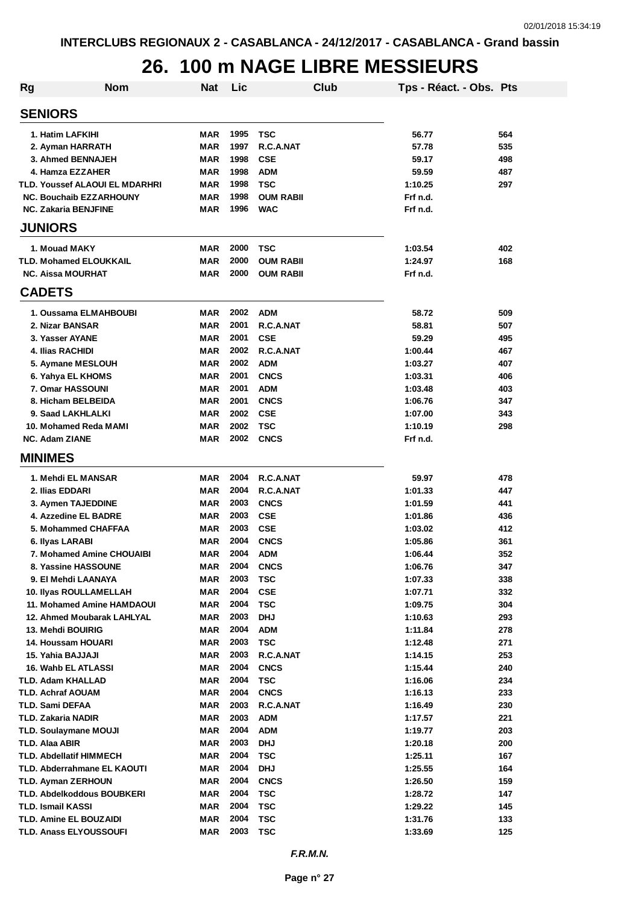#### **26. 100 m NAGE LIBRE MESSIEURS**

| <b>Rg</b>                             | <b>Nom</b> | <b>Nat</b> | Lic  |                  | Club | Tps - Réact. - Obs. Pts |     |
|---------------------------------------|------------|------------|------|------------------|------|-------------------------|-----|
| <b>SENIORS</b>                        |            |            |      |                  |      |                         |     |
| 1. Hatim LAFKIHI                      |            | MAR        | 1995 | <b>TSC</b>       |      | 56.77                   | 564 |
| 2. Ayman HARRATH                      |            | <b>MAR</b> | 1997 | R.C.A.NAT        |      | 57.78                   | 535 |
| 3. Ahmed BENNAJEH                     |            | <b>MAR</b> | 1998 | <b>CSE</b>       |      | 59.17                   | 498 |
| 4. Hamza EZZAHER                      |            | <b>MAR</b> | 1998 | <b>ADM</b>       |      | 59.59                   | 487 |
| <b>TLD. Youssef ALAOUI EL MDARHRI</b> |            | <b>MAR</b> | 1998 | <b>TSC</b>       |      | 1:10.25                 | 297 |
| <b>NC. Bouchaib EZZARHOUNY</b>        |            | <b>MAR</b> | 1998 | <b>OUM RABII</b> |      | Frf n.d.                |     |
| <b>NC. Zakaria BENJFINE</b>           |            | <b>MAR</b> | 1996 | <b>WAC</b>       |      | Frf n.d.                |     |
| <b>JUNIORS</b>                        |            |            |      |                  |      |                         |     |
| 1. Mouad MAKY                         |            | <b>MAR</b> | 2000 | <b>TSC</b>       |      | 1:03.54                 | 402 |
| <b>TLD. Mohamed ELOUKKAIL</b>         |            | <b>MAR</b> | 2000 | <b>OUM RABII</b> |      | 1:24.97                 | 168 |
| <b>NC. Aissa MOURHAT</b>              |            | <b>MAR</b> | 2000 | <b>OUM RABII</b> |      | Frf n.d.                |     |
| <b>CADETS</b>                         |            |            |      |                  |      |                         |     |
| 1. Oussama ELMAHBOUBI                 |            | <b>MAR</b> | 2002 | <b>ADM</b>       |      | 58.72                   | 509 |
| 2. Nizar BANSAR                       |            | <b>MAR</b> | 2001 | R.C.A.NAT        |      | 58.81                   | 507 |
| 3. Yasser AYANE                       |            | <b>MAR</b> | 2001 | <b>CSE</b>       |      | 59.29                   | 495 |
| <b>4. Ilias RACHIDI</b>               |            | <b>MAR</b> | 2002 | R.C.A.NAT        |      | 1:00.44                 | 467 |
| 5. Aymane MESLOUH                     |            | <b>MAR</b> | 2002 | <b>ADM</b>       |      | 1:03.27                 | 407 |
| 6. Yahya EL KHOMS                     |            | <b>MAR</b> | 2001 | <b>CNCS</b>      |      | 1:03.31                 | 406 |
| 7. Omar HASSOUNI                      |            | <b>MAR</b> | 2001 | <b>ADM</b>       |      | 1:03.48                 | 403 |
| 8. Hicham BELBEIDA                    |            | <b>MAR</b> | 2001 | <b>CNCS</b>      |      | 1:06.76                 | 347 |
| 9. Saad LAKHLALKI                     |            | <b>MAR</b> | 2002 | <b>CSE</b>       |      | 1:07.00                 | 343 |
| 10. Mohamed Reda MAMI                 |            | <b>MAR</b> | 2002 | <b>TSC</b>       |      | 1:10.19                 | 298 |
| <b>NC. Adam ZIANE</b>                 |            | <b>MAR</b> | 2002 | <b>CNCS</b>      |      | Frf n.d.                |     |
|                                       |            |            |      |                  |      |                         |     |
| <b>MINIMES</b>                        |            |            |      |                  |      |                         |     |
| 1. Mehdi EL MANSAR                    |            | <b>MAR</b> | 2004 | R.C.A.NAT        |      | 59.97                   | 478 |
| 2. Ilias EDDARI                       |            | <b>MAR</b> | 2004 | R.C.A.NAT        |      | 1:01.33                 | 447 |
| 3. Aymen TAJEDDINE                    |            | <b>MAR</b> | 2003 | <b>CNCS</b>      |      | 1:01.59                 | 441 |
| 4. Azzedine EL BADRE                  |            | <b>MAR</b> | 2003 | <b>CSE</b>       |      | 1:01.86                 | 436 |
| 5. Mohammed CHAFFAA                   |            | <b>MAR</b> | 2003 | <b>CSE</b>       |      | 1:03.02                 | 412 |
| 6. Ilyas LARABI                       |            | <b>MAR</b> | 2004 | <b>CNCS</b>      |      | 1:05.86                 | 361 |
| 7. Mohamed Amine CHOUAIBI             |            | <b>MAR</b> | 2004 | <b>ADM</b>       |      | 1:06.44                 | 352 |
| 8. Yassine HASSOUNE                   |            | <b>MAR</b> | 2004 | <b>CNCS</b>      |      | 1:06.76                 | 347 |
| 9. El Mehdi LAANAYA                   |            | <b>MAR</b> | 2003 | <b>TSC</b>       |      | 1:07.33                 | 338 |
| <b>10. Ilyas ROULLAMELLAH</b>         |            | <b>MAR</b> | 2004 | <b>CSE</b>       |      | 1:07.71                 | 332 |
| 11. Mohamed Amine HAMDAOUI            |            | <b>MAR</b> | 2004 | <b>TSC</b>       |      | 1:09.75                 | 304 |
| 12. Ahmed Moubarak LAHLYAL            |            | <b>MAR</b> | 2003 | <b>DHJ</b>       |      | 1:10.63                 | 293 |
| 13. Mehdi BOUIRIG                     |            | MAR        | 2004 | <b>ADM</b>       |      | 1:11.84                 | 278 |
| 14. Houssam HOUARI                    |            | <b>MAR</b> | 2003 | <b>TSC</b>       |      | 1:12.48                 | 271 |
| 15. Yahia BAJJAJI                     |            | <b>MAR</b> | 2003 | R.C.A.NAT        |      | 1:14.15                 | 253 |
| 16. Wahb EL ATLASSI                   |            | <b>MAR</b> | 2004 | <b>CNCS</b>      |      | 1:15.44                 | 240 |
| <b>TLD. Adam KHALLAD</b>              |            | <b>MAR</b> | 2004 | <b>TSC</b>       |      | 1:16.06                 | 234 |
| <b>TLD. Achraf AOUAM</b>              |            | <b>MAR</b> | 2004 | <b>CNCS</b>      |      | 1:16.13                 | 233 |
| TLD. Sami DEFAA                       |            | <b>MAR</b> | 2003 | R.C.A.NAT        |      | 1:16.49                 | 230 |
| <b>TLD. Zakaria NADIR</b>             |            | <b>MAR</b> | 2003 | <b>ADM</b>       |      | 1:17.57                 | 221 |
| <b>TLD. Soulaymane MOUJI</b>          |            | <b>MAR</b> | 2004 | <b>ADM</b>       |      | 1:19.77                 | 203 |
| TLD. Alaa ABIR                        |            | <b>MAR</b> | 2003 | <b>DHJ</b>       |      | 1:20.18                 | 200 |
| <b>TLD. Abdellatif HIMMECH</b>        |            | <b>MAR</b> | 2004 | <b>TSC</b>       |      | 1:25.11                 | 167 |
| TLD. Abderrahmane EL KAOUTI           |            | <b>MAR</b> | 2004 | <b>DHJ</b>       |      | 1:25.55                 | 164 |
| <b>TLD. Ayman ZERHOUN</b>             |            | <b>MAR</b> | 2004 | <b>CNCS</b>      |      | 1:26.50                 | 159 |
| <b>TLD. Abdelkoddous BOUBKERI</b>     |            | <b>MAR</b> | 2004 | <b>TSC</b>       |      | 1:28.72                 | 147 |
| <b>TLD. Ismail KASSI</b>              |            | <b>MAR</b> | 2004 | <b>TSC</b>       |      | 1:29.22                 | 145 |
| <b>TLD. Amine EL BOUZAIDI</b>         |            | MAR        | 2004 | <b>TSC</b>       |      | 1:31.76                 | 133 |
| <b>TLD. Anass ELYOUSSOUFI</b>         |            | <b>MAR</b> | 2003 | <b>TSC</b>       |      | 1:33.69                 | 125 |
|                                       |            |            |      |                  |      |                         |     |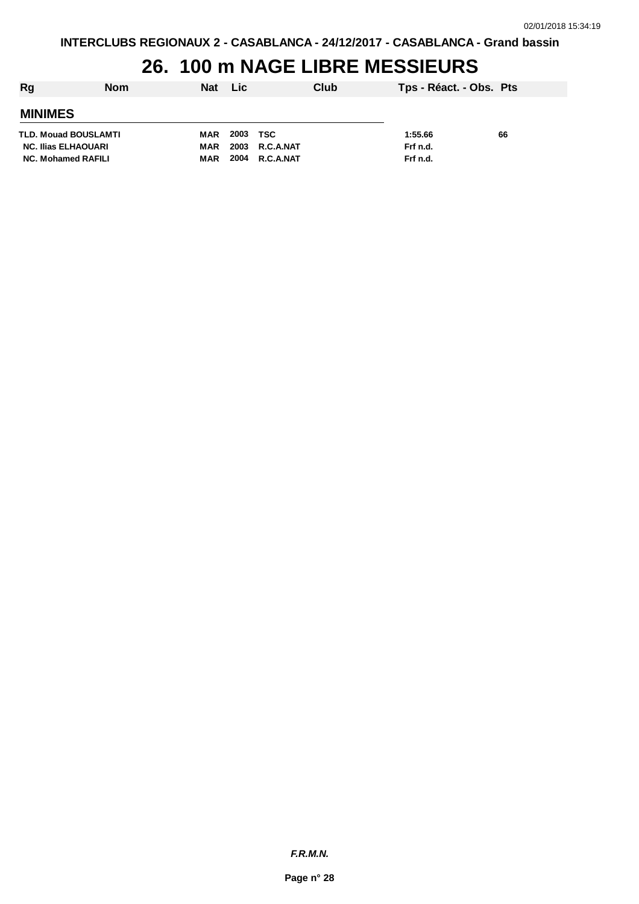#### **26. 100 m NAGE LIBRE MESSIEURS**

| Rg                         | <b>Nom</b> | Nat | <b>Lic</b> | Club             | Tps - Réact. - Obs. Pts |    |
|----------------------------|------------|-----|------------|------------------|-------------------------|----|
| <b>MINIMES</b>             |            |     |            |                  |                         |    |
| TLD. Mouad BOUSLAMTI       |            | MAR | 2003       | TSC              | 1:55.66                 | 66 |
| <b>NC. Ilias ELHAOUARI</b> |            | MAR | 2003       | <b>R.C.A.NAT</b> | Frf n.d.                |    |
| <b>NC. Mohamed RAFILI</b>  |            | MAR | 2004       | R.C.A.NAT        | Frf n.d.                |    |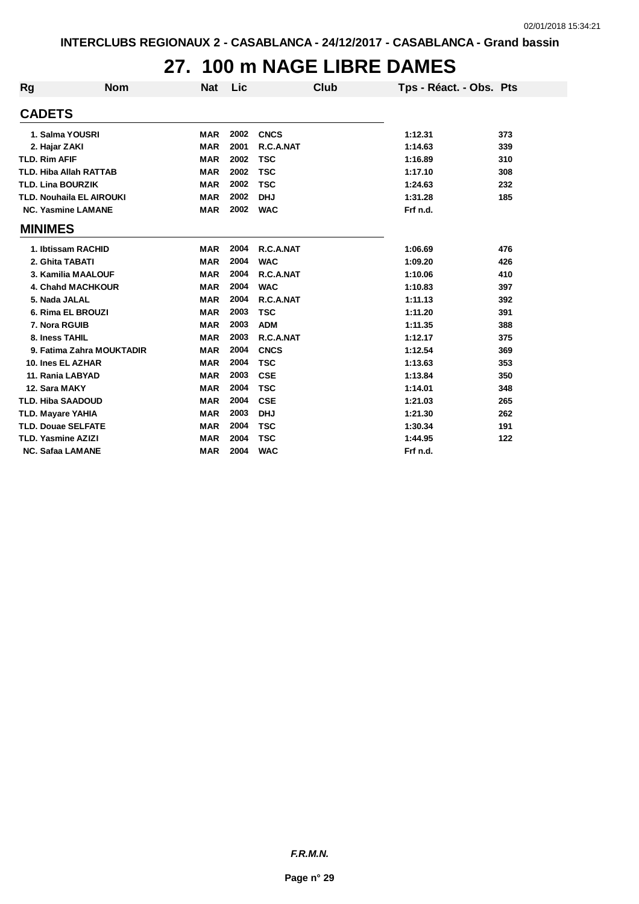### **27. 100 m NAGE LIBRE DAMES**

| Rg | <b>Nom</b>                      | <b>Nat</b> | Lic  | Club        | Tps - Réact. - Obs. Pts |     |
|----|---------------------------------|------------|------|-------------|-------------------------|-----|
|    | <b>CADETS</b>                   |            |      |             |                         |     |
|    | 1. Salma YOUSRI                 | <b>MAR</b> | 2002 | <b>CNCS</b> | 1:12.31                 | 373 |
|    | 2. Hajar ZAKI                   | <b>MAR</b> | 2001 | R.C.A.NAT   | 1:14.63                 | 339 |
|    | <b>TLD. Rim AFIF</b>            | <b>MAR</b> | 2002 | <b>TSC</b>  | 1:16.89                 | 310 |
|    | <b>TLD. Hiba Allah RATTAB</b>   | <b>MAR</b> | 2002 | <b>TSC</b>  | 1:17.10                 | 308 |
|    | <b>TLD. Lina BOURZIK</b>        | <b>MAR</b> | 2002 | <b>TSC</b>  | 1:24.63                 | 232 |
|    | <b>TLD. Nouhaila EL AIROUKI</b> | <b>MAR</b> | 2002 | <b>DHJ</b>  | 1:31.28                 | 185 |
|    | <b>NC. Yasmine LAMANE</b>       | <b>MAR</b> | 2002 | <b>WAC</b>  | Frf n.d.                |     |
|    | <b>MINIMES</b>                  |            |      |             |                         |     |
|    | 1. Ibtissam RACHID              | <b>MAR</b> | 2004 | R.C.A.NAT   | 1:06.69                 | 476 |
|    | 2. Ghita TABATI                 | <b>MAR</b> | 2004 | <b>WAC</b>  | 1:09.20                 | 426 |
|    | 3. Kamilia MAALOUF              | <b>MAR</b> | 2004 | R.C.A.NAT   | 1:10.06                 | 410 |
|    | <b>4. Chand MACHKOUR</b>        | <b>MAR</b> | 2004 | <b>WAC</b>  | 1:10.83                 | 397 |
|    | 5. Nada JALAL                   | <b>MAR</b> | 2004 | R.C.A.NAT   | 1:11.13                 | 392 |
|    | 6. Rima EL BROUZI               | <b>MAR</b> | 2003 | <b>TSC</b>  | 1:11.20                 | 391 |
|    | 7. Nora RGUIB                   | <b>MAR</b> | 2003 | <b>ADM</b>  | 1:11.35                 | 388 |
|    | 8. Iness TAHIL                  | <b>MAR</b> | 2003 | R.C.A.NAT   | 1:12.17                 | 375 |
|    | 9. Fatima Zahra MOUKTADIR       | <b>MAR</b> | 2004 | <b>CNCS</b> | 1:12.54                 | 369 |
|    | 10. Ines EL AZHAR               | <b>MAR</b> | 2004 | <b>TSC</b>  | 1:13.63                 | 353 |
|    | 11. Rania LABYAD                | <b>MAR</b> | 2003 | <b>CSE</b>  | 1:13.84                 | 350 |
|    | 12. Sara MAKY                   | <b>MAR</b> | 2004 | <b>TSC</b>  | 1:14.01                 | 348 |
|    | <b>TLD. Hiba SAADOUD</b>        | <b>MAR</b> | 2004 | <b>CSE</b>  | 1:21.03                 | 265 |
|    | <b>TLD. Mayare YAHIA</b>        | <b>MAR</b> | 2003 | <b>DHJ</b>  | 1:21.30                 | 262 |
|    | <b>TLD. Douae SELFATE</b>       | <b>MAR</b> | 2004 | <b>TSC</b>  | 1:30.34                 | 191 |
|    | <b>TLD. Yasmine AZIZI</b>       | <b>MAR</b> | 2004 | <b>TSC</b>  | 1:44.95                 | 122 |
|    | <b>NC. Safaa LAMANE</b>         | <b>MAR</b> | 2004 | <b>WAC</b>  | Frf n.d.                |     |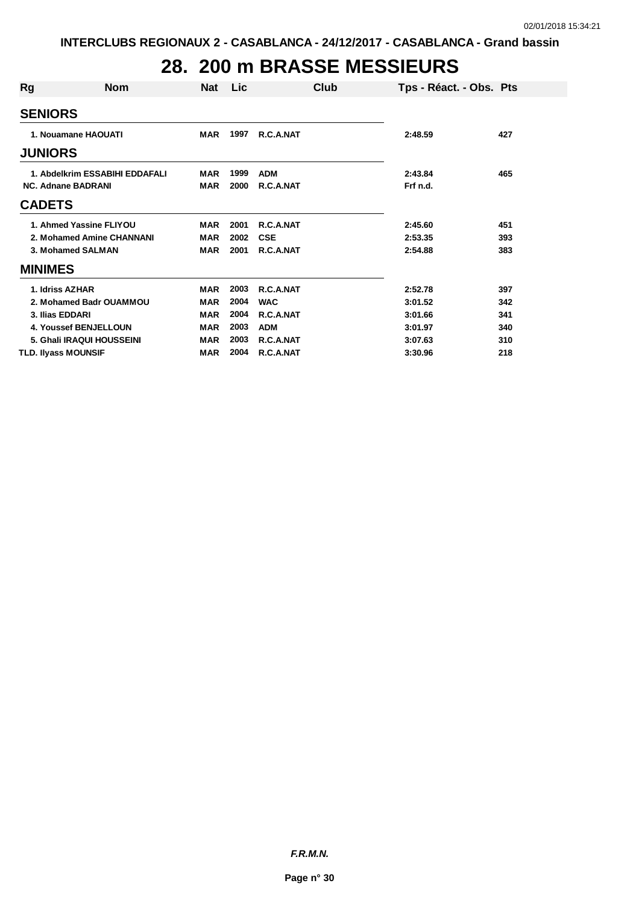# **28. 200 m BRASSE MESSIEURS**

| Rg                             | <b>Nom</b>                | <b>Nat</b> | Lic  |            | Club | Tps - Réact. - Obs. Pts |     |
|--------------------------------|---------------------------|------------|------|------------|------|-------------------------|-----|
| <b>SENIORS</b>                 |                           |            |      |            |      |                         |     |
| <b>JUNIORS</b>                 | 1. Nouamane HAOUATI       | MAR        | 1997 | R.C.A.NAT  |      | 2:48.59                 | 427 |
| 1. Abdelkrim ESSABIHI EDDAFALI |                           | <b>MAR</b> | 1999 | <b>ADM</b> |      | 2:43.84                 | 465 |
| <b>NC. Adnane BADRANI</b>      |                           | <b>MAR</b> | 2000 | R.C.A.NAT  |      | Frf n.d.                |     |
| <b>CADETS</b>                  |                           |            |      |            |      |                         |     |
|                                | 1. Ahmed Yassine FLIYOU   | <b>MAR</b> | 2001 | R.C.A.NAT  |      | 2:45.60                 | 451 |
|                                | 2. Mohamed Amine CHANNANI | <b>MAR</b> | 2002 | <b>CSE</b> |      | 2:53.35                 | 393 |
|                                | 3. Mohamed SALMAN         | <b>MAR</b> | 2001 | R.C.A.NAT  |      | 2:54.88                 | 383 |
| <b>MINIMES</b>                 |                           |            |      |            |      |                         |     |
| 1. Idriss AZHAR                |                           | <b>MAR</b> | 2003 | R.C.A.NAT  |      | 2:52.78                 | 397 |
|                                | 2. Mohamed Badr OUAMMOU   | <b>MAR</b> | 2004 | <b>WAC</b> |      | 3:01.52                 | 342 |
| 3. Ilias EDDARI                |                           | <b>MAR</b> | 2004 | R.C.A.NAT  |      | 3:01.66                 | 341 |
|                                | 4. Youssef BENJELLOUN     | <b>MAR</b> | 2003 | <b>ADM</b> |      | 3:01.97                 | 340 |
|                                | 5. Ghali IRAQUI HOUSSEINI | MAR        | 2003 | R.C.A.NAT  |      | 3:07.63                 | 310 |
| <b>TLD. Ilyass MOUNSIF</b>     |                           | <b>MAR</b> | 2004 | R.C.A.NAT  |      | 3:30.96                 | 218 |

*F.R.M.N.*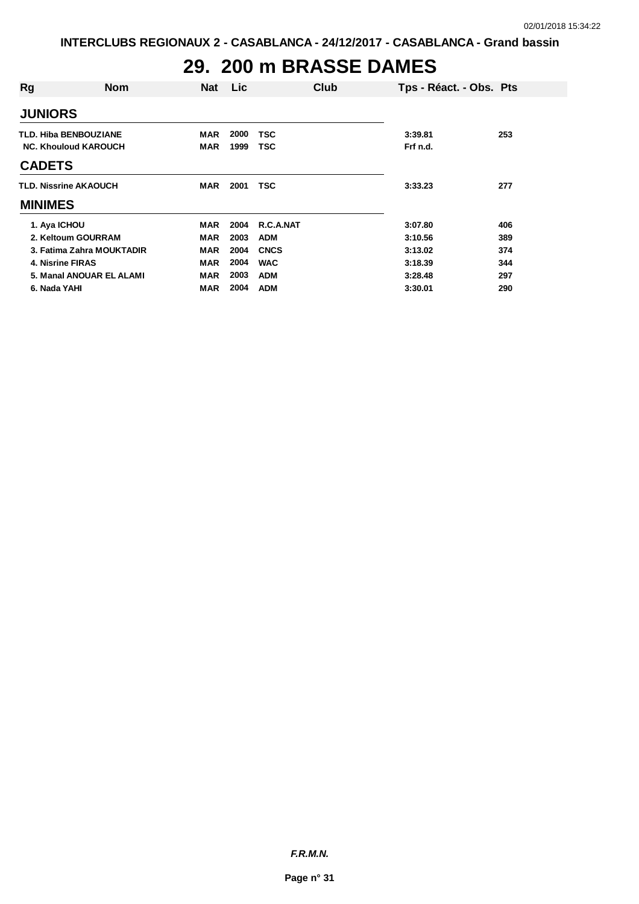# **29. 200 m BRASSE DAMES**

| Rg             | <b>Nom</b>                   | <b>Nat</b> | Lic  |             | Club | Tps - Réact. - Obs. Pts |     |
|----------------|------------------------------|------------|------|-------------|------|-------------------------|-----|
| <b>JUNIORS</b> |                              |            |      |             |      |                         |     |
|                | <b>TLD. Hiba BENBOUZIANE</b> | MAR        | 2000 | <b>TSC</b>  |      | 3:39.81                 | 253 |
|                | <b>NC. Khouloud KAROUCH</b>  | <b>MAR</b> | 1999 | TSC         |      | Frf n.d.                |     |
| <b>CADETS</b>  |                              |            |      |             |      |                         |     |
|                | <b>TLD. Nissrine AKAOUCH</b> | <b>MAR</b> | 2001 | <b>TSC</b>  |      | 3:33.23                 | 277 |
| <b>MINIMES</b> |                              |            |      |             |      |                         |     |
| 1. Aya ICHOU   |                              | MAR        | 2004 | R.C.A.NAT   |      | 3:07.80                 | 406 |
|                | 2. Keltoum GOURRAM           | <b>MAR</b> | 2003 | <b>ADM</b>  |      | 3:10.56                 | 389 |
|                | 3. Fatima Zahra MOUKTADIR    | <b>MAR</b> | 2004 | <b>CNCS</b> |      | 3:13.02                 | 374 |
|                | 4. Nisrine FIRAS             | <b>MAR</b> | 2004 | <b>WAC</b>  |      | 3:18.39                 | 344 |
|                | 5. Manal ANOUAR EL ALAMI     | <b>MAR</b> | 2003 | <b>ADM</b>  |      | 3:28.48                 | 297 |
| 6. Nada YAHI   |                              | MAR        | 2004 | <b>ADM</b>  |      | 3:30.01                 | 290 |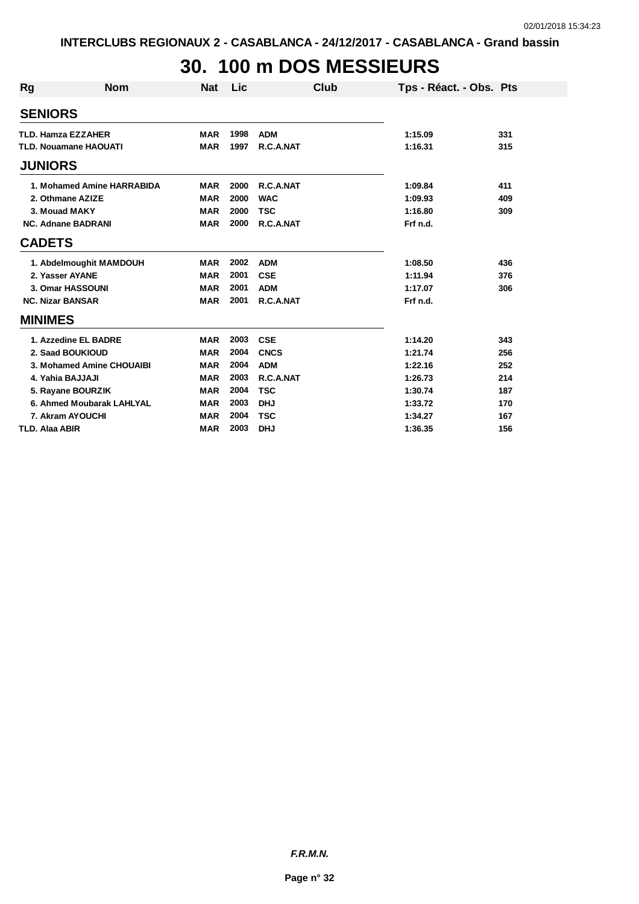# **30. 100 m DOS MESSIEURS**

| <b>Rg</b>                 | <b>Nom</b>                   | <b>Nat</b> | Lic  | Club        | Tps - Réact. - Obs. Pts |     |
|---------------------------|------------------------------|------------|------|-------------|-------------------------|-----|
| <b>SENIORS</b>            |                              |            |      |             |                         |     |
| <b>TLD. Hamza EZZAHER</b> |                              | <b>MAR</b> | 1998 | <b>ADM</b>  | 1:15.09                 | 331 |
|                           | <b>TLD. Nouamane HAOUATI</b> | <b>MAR</b> | 1997 | R.C.A.NAT   | 1:16.31                 | 315 |
| <b>JUNIORS</b>            |                              |            |      |             |                         |     |
|                           | 1. Mohamed Amine HARRABIDA   | <b>MAR</b> | 2000 | R.C.A.NAT   | 1:09.84                 | 411 |
|                           | 2. Othmane AZIZE             | <b>MAR</b> | 2000 | <b>WAC</b>  | 1:09.93                 | 409 |
| 3. Mouad MAKY             |                              | <b>MAR</b> | 2000 | <b>TSC</b>  | 1:16.80                 | 309 |
|                           | <b>NC. Adnane BADRANI</b>    | <b>MAR</b> | 2000 | R.C.A.NAT   | Frf n.d.                |     |
| <b>CADETS</b>             |                              |            |      |             |                         |     |
|                           | 1. Abdelmoughit MAMDOUH      | <b>MAR</b> | 2002 | <b>ADM</b>  | 1:08.50                 | 436 |
| 2. Yasser AYANE           |                              | <b>MAR</b> | 2001 | <b>CSE</b>  | 1:11.94                 | 376 |
|                           | 3. Omar HASSOUNI             | <b>MAR</b> | 2001 | <b>ADM</b>  | 1:17.07                 | 306 |
| <b>NC. Nizar BANSAR</b>   |                              | <b>MAR</b> | 2001 | R.C.A.NAT   | Frf n.d.                |     |
| <b>MINIMES</b>            |                              |            |      |             |                         |     |
|                           | 1. Azzedine EL BADRE         | <b>MAR</b> | 2003 | <b>CSE</b>  | 1:14.20                 | 343 |
|                           | 2. Saad BOUKIOUD             | <b>MAR</b> | 2004 | <b>CNCS</b> | 1:21.74                 | 256 |
|                           | 3. Mohamed Amine CHOUAIBI    | <b>MAR</b> | 2004 | <b>ADM</b>  | 1:22.16                 | 252 |
| 4. Yahia BAJJAJI          |                              | <b>MAR</b> | 2003 | R.C.A.NAT   | 1:26.73                 | 214 |
|                           | 5. Rayane BOURZIK            | <b>MAR</b> | 2004 | <b>TSC</b>  | 1:30.74                 | 187 |
|                           | 6. Ahmed Moubarak LAHLYAL    | <b>MAR</b> | 2003 | <b>DHJ</b>  | 1:33.72                 | 170 |
|                           | 7. Akram AYOUCHI             | <b>MAR</b> | 2004 | <b>TSC</b>  | 1:34.27                 | 167 |
| <b>TLD. Alaa ABIR</b>     |                              | <b>MAR</b> | 2003 | <b>DHJ</b>  | 1:36.35                 | 156 |

*F.R.M.N.*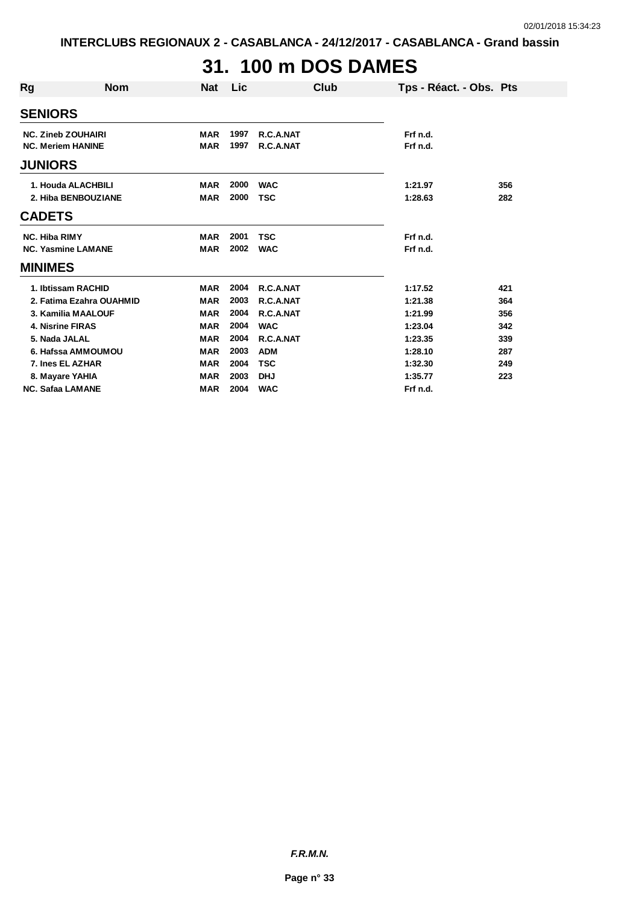# **31. 100 m DOS DAMES**

| Rg                        | <b>Nom</b>                | <b>Nat</b> | Lic  | Club       | Tps - Réact. - Obs. Pts |     |
|---------------------------|---------------------------|------------|------|------------|-------------------------|-----|
| <b>SENIORS</b>            |                           |            |      |            |                         |     |
| <b>NC. Zineb ZOUHAIRI</b> |                           | <b>MAR</b> | 1997 | R.C.A.NAT  | Frf n.d.                |     |
| <b>NC. Meriem HANINE</b>  |                           | <b>MAR</b> | 1997 | R.C.A.NAT  | Frf n.d.                |     |
| <b>JUNIORS</b>            |                           |            |      |            |                         |     |
|                           | 1. Houda ALACHBILI        | <b>MAR</b> | 2000 | <b>WAC</b> | 1:21.97                 | 356 |
|                           | 2. Hiba BENBOUZIANE       | <b>MAR</b> | 2000 | <b>TSC</b> | 1:28.63                 | 282 |
| <b>CADETS</b>             |                           |            |      |            |                         |     |
| <b>NC. Hiba RIMY</b>      |                           | <b>MAR</b> | 2001 | <b>TSC</b> | Frf n.d.                |     |
|                           | <b>NC. Yasmine LAMANE</b> | <b>MAR</b> | 2002 | <b>WAC</b> | Frf n.d.                |     |
| <b>MINIMES</b>            |                           |            |      |            |                         |     |
|                           | 1. Ibtissam RACHID        | <b>MAR</b> | 2004 | R.C.A.NAT  | 1:17.52                 | 421 |
|                           | 2. Fatima Ezahra OUAHMID  | <b>MAR</b> | 2003 | R.C.A.NAT  | 1:21.38                 | 364 |
|                           | 3. Kamilia MAALOUF        | <b>MAR</b> | 2004 | R.C.A.NAT  | 1:21.99                 | 356 |
| 4. Nisrine FIRAS          |                           | <b>MAR</b> | 2004 | <b>WAC</b> | 1:23.04                 | 342 |
| 5. Nada JALAL             |                           | <b>MAR</b> | 2004 | R.C.A.NAT  | 1:23.35                 | 339 |
|                           | 6. Hafssa AMMOUMOU        | <b>MAR</b> | 2003 | <b>ADM</b> | 1:28.10                 | 287 |
| 7. Ines EL AZHAR          |                           | <b>MAR</b> | 2004 | <b>TSC</b> | 1:32.30                 | 249 |
| 8. Mayare YAHIA           |                           | <b>MAR</b> | 2003 | <b>DHJ</b> | 1:35.77                 | 223 |
| <b>NC. Safaa LAMANE</b>   |                           | <b>MAR</b> | 2004 | <b>WAC</b> | Frf n.d.                |     |

*F.R.M.N.*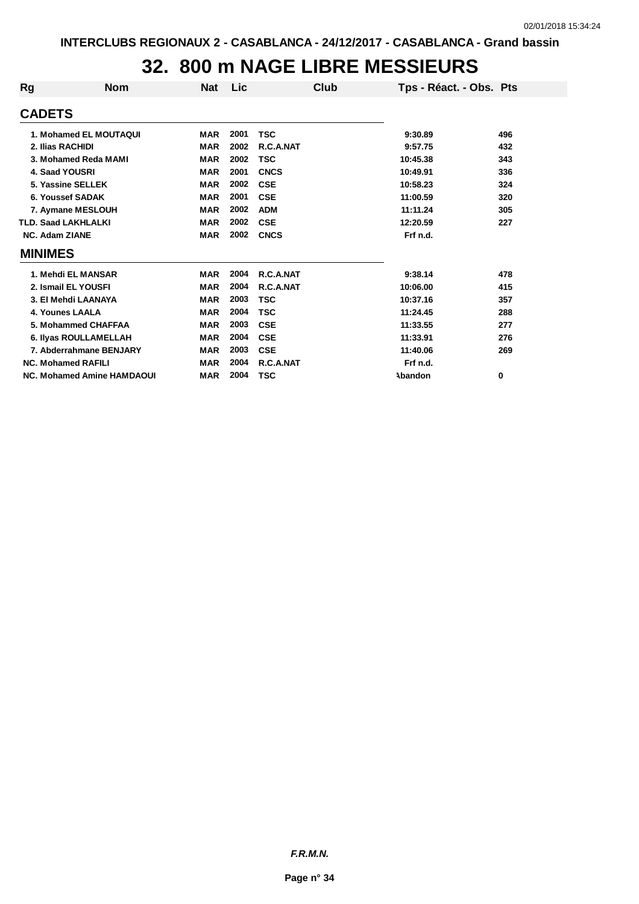#### **32. 800 m NAGE LIBRE MESSIEURS**

| Rg             | <b>Nom</b>                        | <b>Nat</b> | Lic  | Club        | Tps - Réact. - Obs. Pts |     |
|----------------|-----------------------------------|------------|------|-------------|-------------------------|-----|
| <b>CADETS</b>  |                                   |            |      |             |                         |     |
|                | 1. Mohamed EL MOUTAQUI            | <b>MAR</b> | 2001 | <b>TSC</b>  | 9:30.89                 | 496 |
|                | 2. Ilias RACHIDI                  | <b>MAR</b> | 2002 | R.C.A.NAT   | 9:57.75                 | 432 |
|                | 3. Mohamed Reda MAMI              | <b>MAR</b> | 2002 | <b>TSC</b>  | 10:45.38                | 343 |
|                | 4. Saad YOUSRI                    | <b>MAR</b> | 2001 | <b>CNCS</b> | 10:49.91                | 336 |
|                | 5. Yassine SELLEK                 | <b>MAR</b> | 2002 | <b>CSE</b>  | 10:58.23                | 324 |
|                | 6. Youssef SADAK                  | <b>MAR</b> | 2001 | <b>CSE</b>  | 11:00.59                | 320 |
|                | 7. Aymane MESLOUH                 | <b>MAR</b> | 2002 | <b>ADM</b>  | 11:11.24                | 305 |
|                | <b>TLD. Saad LAKHLALKI</b>        | <b>MAR</b> | 2002 | <b>CSE</b>  | 12:20.59                | 227 |
|                | <b>NC. Adam ZIANE</b>             | <b>MAR</b> | 2002 | <b>CNCS</b> | Frf n.d.                |     |
| <b>MINIMES</b> |                                   |            |      |             |                         |     |
|                | 1. Mehdi EL MANSAR                | <b>MAR</b> | 2004 | R.C.A.NAT   | 9:38.14                 | 478 |
|                | 2. Ismail EL YOUSFI               | <b>MAR</b> | 2004 | R.C.A.NAT   | 10:06.00                | 415 |
|                | 3. El Mehdi LAANAYA               | <b>MAR</b> | 2003 | <b>TSC</b>  | 10:37.16                | 357 |
|                | 4. Younes LAALA                   | <b>MAR</b> | 2004 | <b>TSC</b>  | 11:24.45                | 288 |
|                | 5. Mohammed CHAFFAA               | <b>MAR</b> | 2003 | <b>CSE</b>  | 11:33.55                | 277 |
|                | 6. Ilyas ROULLAMELLAH             | <b>MAR</b> | 2004 | <b>CSE</b>  | 11:33.91                | 276 |
|                | 7. Abderrahmane BENJARY           | <b>MAR</b> | 2003 | <b>CSE</b>  | 11:40.06                | 269 |
|                | <b>NC. Mohamed RAFILI</b>         | <b>MAR</b> | 2004 | R.C.A.NAT   | Frf n.d.                |     |
|                | <b>NC. Mohamed Amine HAMDAOUI</b> | <b>MAR</b> | 2004 | TSC         | Abandon                 | 0   |

*F.R.M.N.*